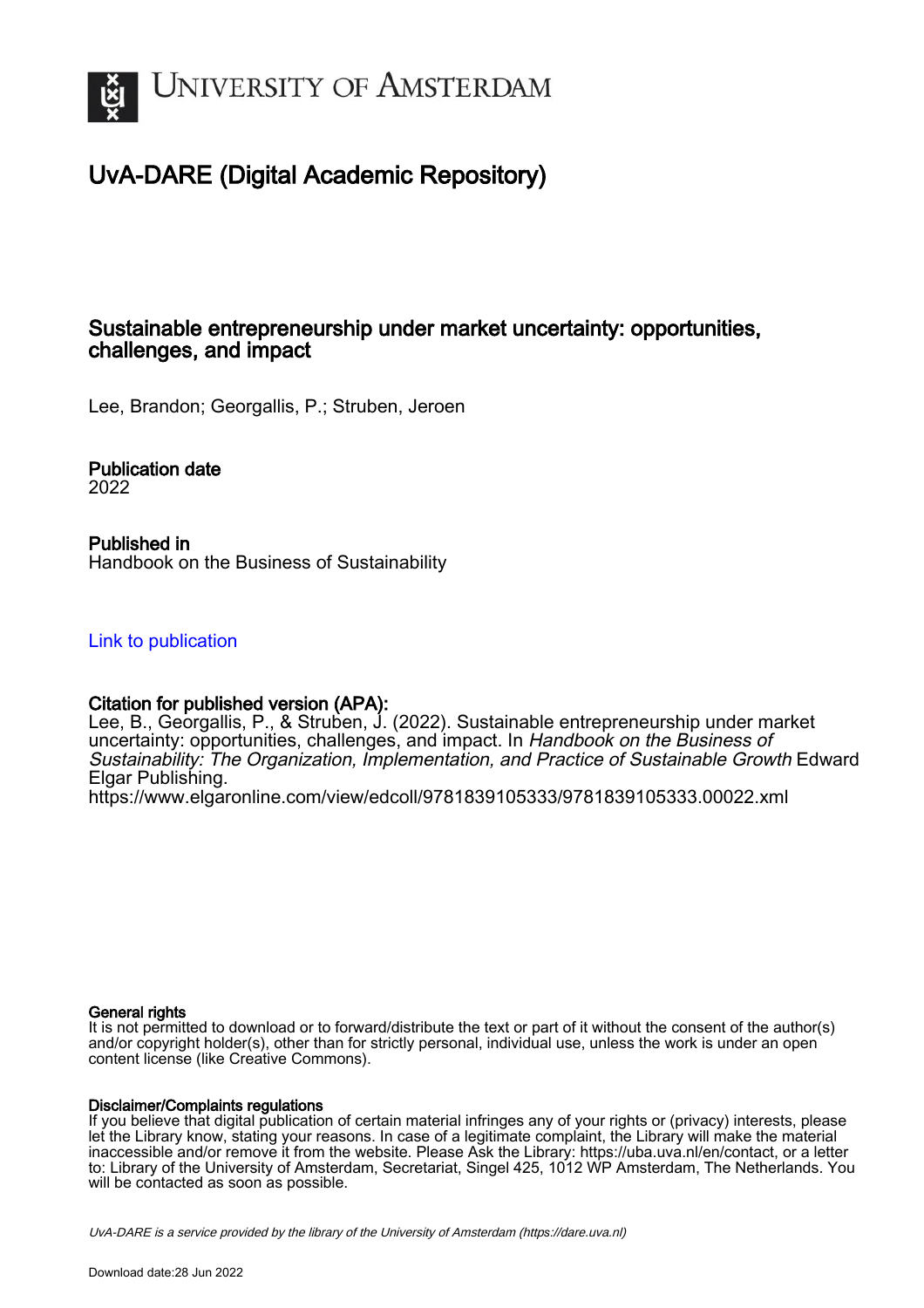

# UvA-DARE (Digital Academic Repository)

# Sustainable entrepreneurship under market uncertainty: opportunities, challenges, and impact

Lee, Brandon; Georgallis, P.; Struben, Jeroen

Publication date 2022

Published in Handbook on the Business of Sustainability

[Link to publication](https://dare.uva.nl/personal/pure/en/publications/sustainable-entrepreneurship-under-market-uncertainty-opportunities-challenges-and-impact(bd45c8f2-04bc-4b7c-9a58-f6e8da2c1c84).html)

## Citation for published version (APA):

Lee, B., Georgallis, P., & Struben, J. (2022). Sustainable entrepreneurship under market uncertainty: opportunities, challenges, and impact. In Handbook on the Business of Sustainability: The Organization, Implementation, and Practice of Sustainable Growth Edward Elgar Publishing.

<https://www.elgaronline.com/view/edcoll/9781839105333/9781839105333.00022.xml>

## General rights

It is not permitted to download or to forward/distribute the text or part of it without the consent of the author(s) and/or copyright holder(s), other than for strictly personal, individual use, unless the work is under an open content license (like Creative Commons).

## Disclaimer/Complaints regulations

If you believe that digital publication of certain material infringes any of your rights or (privacy) interests, please let the Library know, stating your reasons. In case of a legitimate complaint, the Library will make the material inaccessible and/or remove it from the website. Please Ask the Library: https://uba.uva.nl/en/contact, or a letter to: Library of the University of Amsterdam, Secretariat, Singel 425, 1012 WP Amsterdam, The Netherlands. You will be contacted as soon as possible.

UvA-DARE is a service provided by the library of the University of Amsterdam (http*s*://dare.uva.nl)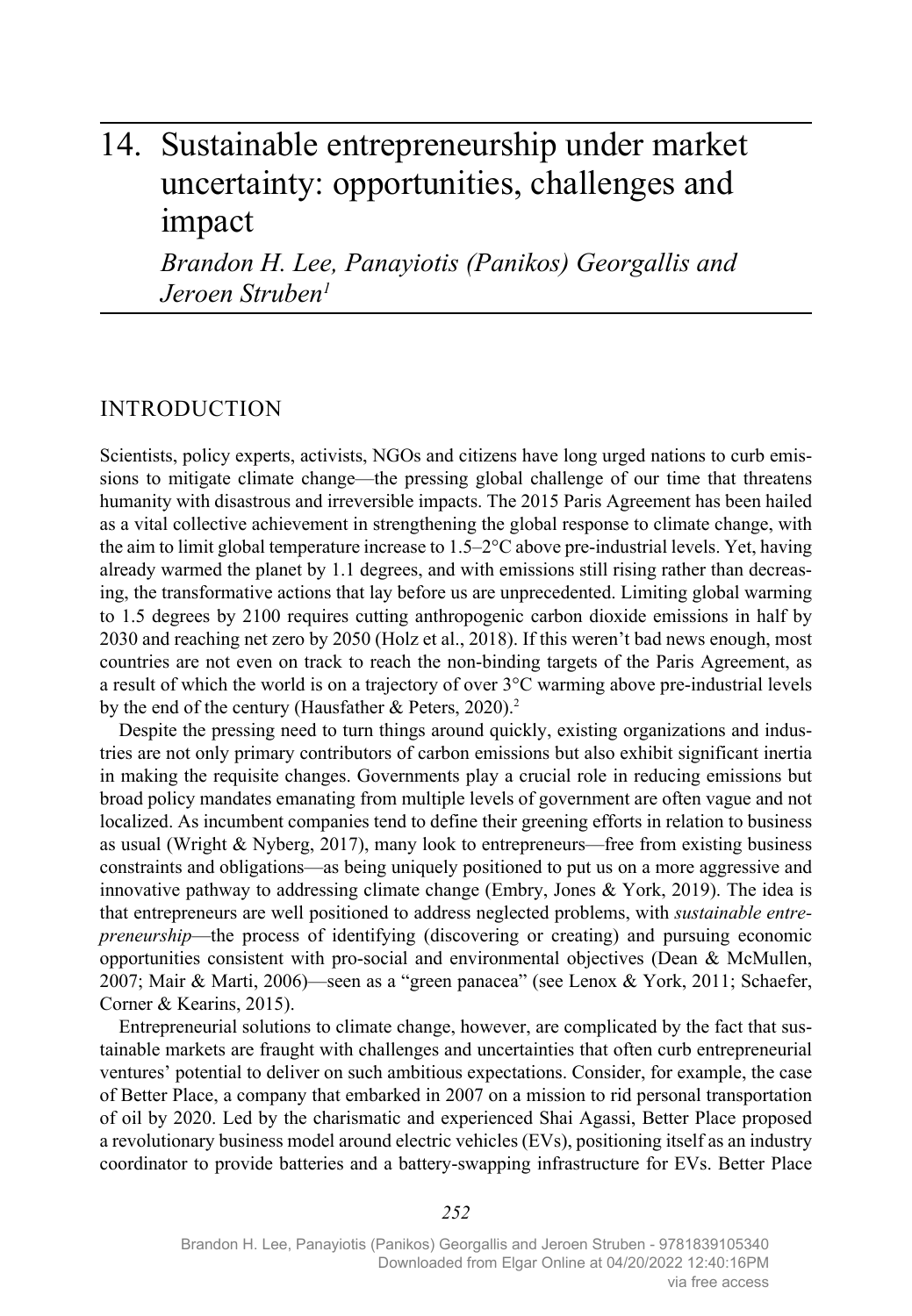# 14. Sustainable entrepreneurship under market uncertainty: opportunities, challenges and impact

*Brandon H. Lee, Panayiotis (Panikos) Georgallis and Jeroen Struben1*

## INTRODUCTION

Scientists, policy experts, activists, NGOs and citizens have long urged nations to curb emissions to mitigate climate change—the pressing global challenge of our time that threatens humanity with disastrous and irreversible impacts. The 2015 Paris Agreement has been hailed as a vital collective achievement in strengthening the global response to climate change, with the aim to limit global temperature increase to  $1.5-2$ °C above pre-industrial levels. Yet, having already warmed the planet by 1.1 degrees, and with emissions still rising rather than decreasing, the transformative actions that lay before us are unprecedented. Limiting global warming to 1.5 degrees by 2100 requires cutting anthropogenic carbon dioxide emissions in half by 2030 and reaching net zero by 2050 (Holz et al., 2018). If this weren't bad news enough, most countries are not even on track to reach the non-binding targets of the Paris Agreement, as a result of which the world is on a trajectory of over 3°C warming above pre-industrial levels by the end of the century (Hausfather & Peters, 2020).<sup>2</sup>

Despite the pressing need to turn things around quickly, existing organizations and industries are not only primary contributors of carbon emissions but also exhibit significant inertia in making the requisite changes. Governments play a crucial role in reducing emissions but broad policy mandates emanating from multiple levels of government are often vague and not localized. As incumbent companies tend to define their greening efforts in relation to business as usual (Wright & Nyberg, 2017), many look to entrepreneurs—free from existing business constraints and obligations—as being uniquely positioned to put us on a more aggressive and innovative pathway to addressing climate change (Embry, Jones & York, 2019). The idea is that entrepreneurs are well positioned to address neglected problems, with *sustainable entrepreneurship*—the process of identifying (discovering or creating) and pursuing economic opportunities consistent with pro-social and environmental objectives (Dean & McMullen, 2007; Mair & Marti, 2006)—seen as a "green panacea" (see Lenox & York, 2011; Schaefer, Corner & Kearins, 2015).

Entrepreneurial solutions to climate change, however, are complicated by the fact that sustainable markets are fraught with challenges and uncertainties that often curb entrepreneurial ventures' potential to deliver on such ambitious expectations. Consider, for example, the case of Better Place, a company that embarked in 2007 on a mission to rid personal transportation of oil by 2020. Led by the charismatic and experienced Shai Agassi, Better Place proposed a revolutionary business model around electric vehicles (EVs), positioning itself as an industry coordinator to provide batteries and a battery-swapping infrastructure for EVs. Better Place

*252*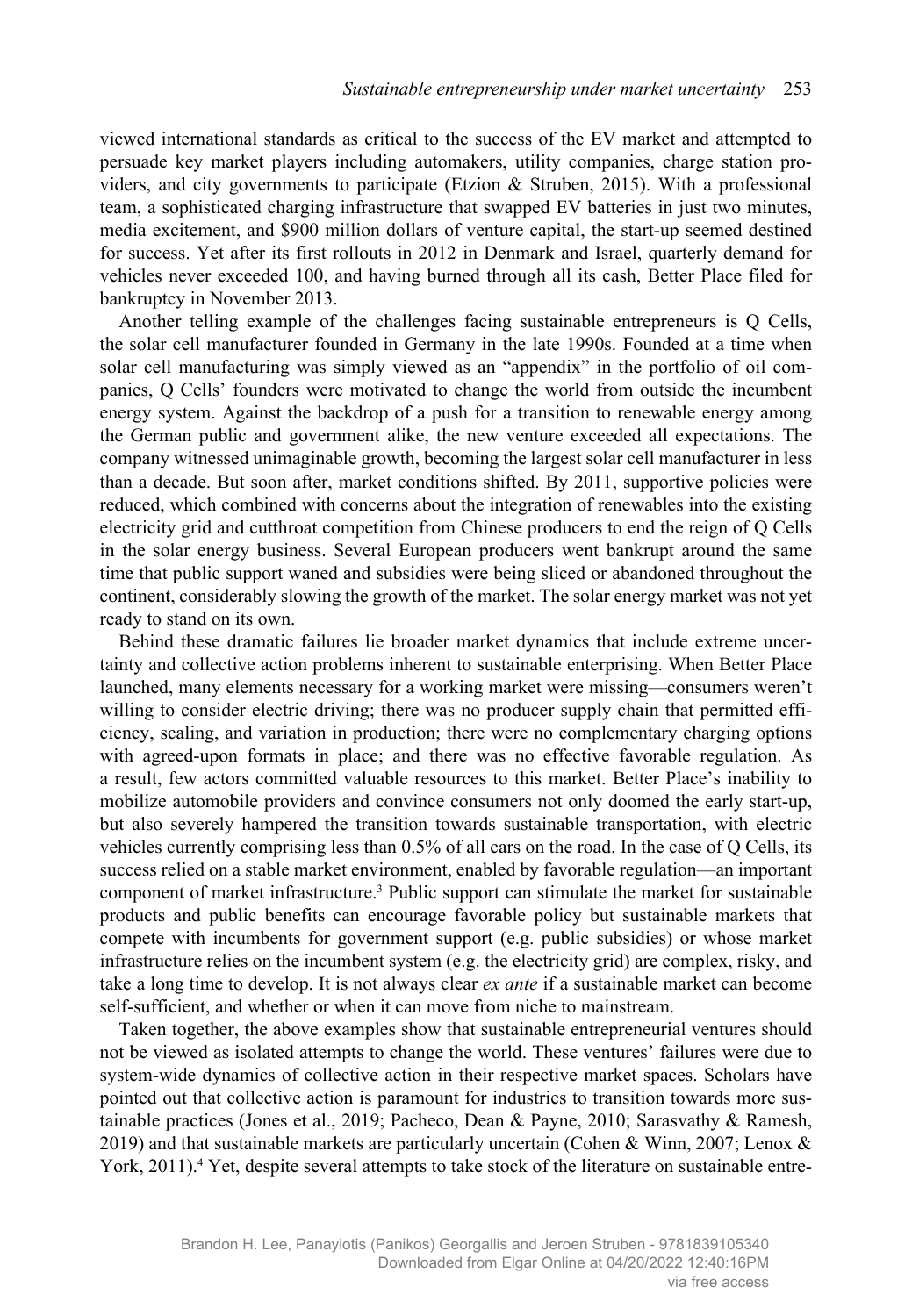viewed international standards as critical to the success of the EV market and attempted to persuade key market players including automakers, utility companies, charge station providers, and city governments to participate (Etzion & Struben, 2015). With a professional team, a sophisticated charging infrastructure that swapped EV batteries in just two minutes, media excitement, and \$900 million dollars of venture capital, the start-up seemed destined for success. Yet after its first rollouts in 2012 in Denmark and Israel, quarterly demand for vehicles never exceeded 100, and having burned through all its cash, Better Place filed for bankruptcy in November 2013.

Another telling example of the challenges facing sustainable entrepreneurs is Q Cells, the solar cell manufacturer founded in Germany in the late 1990s. Founded at a time when solar cell manufacturing was simply viewed as an "appendix" in the portfolio of oil companies, Q Cells' founders were motivated to change the world from outside the incumbent energy system. Against the backdrop of a push for a transition to renewable energy among the German public and government alike, the new venture exceeded all expectations. The company witnessed unimaginable growth, becoming the largest solar cell manufacturer in less than a decade. But soon after, market conditions shifted. By 2011, supportive policies were reduced, which combined with concerns about the integration of renewables into the existing electricity grid and cutthroat competition from Chinese producers to end the reign of Q Cells in the solar energy business. Several European producers went bankrupt around the same time that public support waned and subsidies were being sliced or abandoned throughout the continent, considerably slowing the growth of the market. The solar energy market was not yet ready to stand on its own.

Behind these dramatic failures lie broader market dynamics that include extreme uncertainty and collective action problems inherent to sustainable enterprising. When Better Place launched, many elements necessary for a working market were missing—consumers weren't willing to consider electric driving; there was no producer supply chain that permitted efficiency, scaling, and variation in production; there were no complementary charging options with agreed-upon formats in place; and there was no effective favorable regulation. As a result, few actors committed valuable resources to this market. Better Place's inability to mobilize automobile providers and convince consumers not only doomed the early start-up, but also severely hampered the transition towards sustainable transportation, with electric vehicles currently comprising less than 0.5% of all cars on the road. In the case of Q Cells, its success relied on a stable market environment, enabled by favorable regulation—an important component of market infrastructure.3 Public support can stimulate the market for sustainable products and public benefits can encourage favorable policy but sustainable markets that compete with incumbents for government support (e.g. public subsidies) or whose market infrastructure relies on the incumbent system (e.g. the electricity grid) are complex, risky, and take a long time to develop. It is not always clear *ex ante* if a sustainable market can become self-sufficient, and whether or when it can move from niche to mainstream.

Taken together, the above examples show that sustainable entrepreneurial ventures should not be viewed as isolated attempts to change the world. These ventures' failures were due to system-wide dynamics of collective action in their respective market spaces. Scholars have pointed out that collective action is paramount for industries to transition towards more sustainable practices (Jones et al., 2019; Pacheco, Dean & Payne, 2010; Sarasvathy & Ramesh, 2019) and that sustainable markets are particularly uncertain (Cohen & Winn, 2007; Lenox & York, 2011).<sup>4</sup> Yet, despite several attempts to take stock of the literature on sustainable entre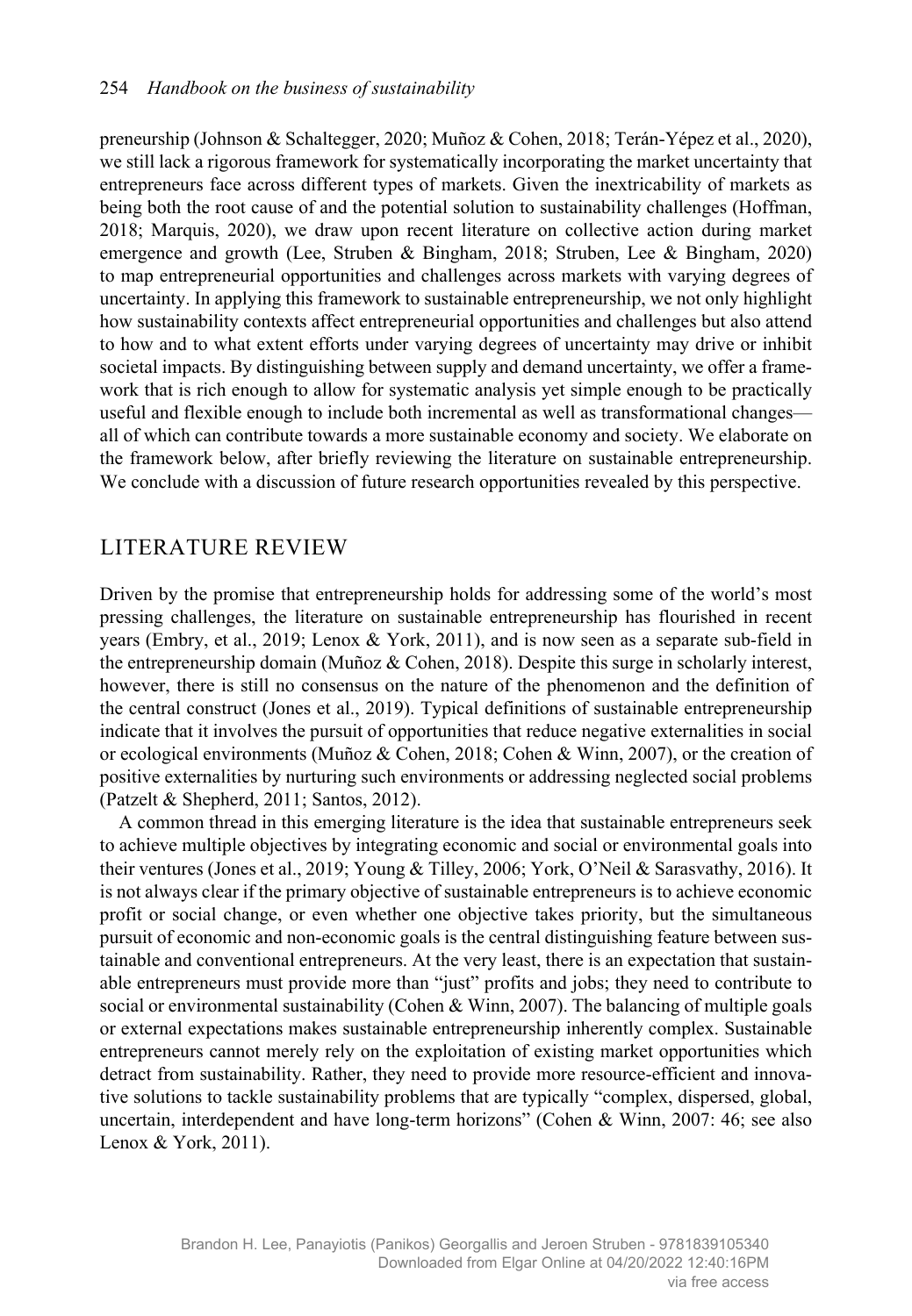preneurship (Johnson & Schaltegger, 2020; Muñoz & Cohen, 2018; Terán-Yépez et al., 2020), we still lack a rigorous framework for systematically incorporating the market uncertainty that entrepreneurs face across different types of markets. Given the inextricability of markets as being both the root cause of and the potential solution to sustainability challenges (Hoffman, 2018; Marquis, 2020), we draw upon recent literature on collective action during market emergence and growth (Lee, Struben & Bingham, 2018; Struben, Lee & Bingham, 2020) to map entrepreneurial opportunities and challenges across markets with varying degrees of uncertainty. In applying this framework to sustainable entrepreneurship, we not only highlight how sustainability contexts affect entrepreneurial opportunities and challenges but also attend to how and to what extent efforts under varying degrees of uncertainty may drive or inhibit societal impacts. By distinguishing between supply and demand uncertainty, we offer a framework that is rich enough to allow for systematic analysis yet simple enough to be practically useful and flexible enough to include both incremental as well as transformational changes all of which can contribute towards a more sustainable economy and society. We elaborate on the framework below, after briefly reviewing the literature on sustainable entrepreneurship. We conclude with a discussion of future research opportunities revealed by this perspective.

## LITERATURE REVIEW

Driven by the promise that entrepreneurship holds for addressing some of the world's most pressing challenges, the literature on sustainable entrepreneurship has flourished in recent years (Embry, et al., 2019; Lenox & York, 2011), and is now seen as a separate sub-field in the entrepreneurship domain (Muñoz & Cohen, 2018). Despite this surge in scholarly interest, however, there is still no consensus on the nature of the phenomenon and the definition of the central construct (Jones et al., 2019). Typical definitions of sustainable entrepreneurship indicate that it involves the pursuit of opportunities that reduce negative externalities in social or ecological environments (Muñoz & Cohen, 2018; Cohen & Winn, 2007), or the creation of positive externalities by nurturing such environments or addressing neglected social problems (Patzelt & Shepherd, 2011; Santos, 2012).

A common thread in this emerging literature is the idea that sustainable entrepreneurs seek to achieve multiple objectives by integrating economic and social or environmental goals into their ventures (Jones et al., 2019; Young & Tilley, 2006; York, O'Neil & Sarasvathy, 2016). It is not always clear if the primary objective of sustainable entrepreneurs is to achieve economic profit or social change, or even whether one objective takes priority, but the simultaneous pursuit of economic and non-economic goals is the central distinguishing feature between sustainable and conventional entrepreneurs. At the very least, there is an expectation that sustainable entrepreneurs must provide more than "just" profits and jobs; they need to contribute to social or environmental sustainability (Cohen & Winn, 2007). The balancing of multiple goals or external expectations makes sustainable entrepreneurship inherently complex. Sustainable entrepreneurs cannot merely rely on the exploitation of existing market opportunities which detract from sustainability. Rather, they need to provide more resource-efficient and innovative solutions to tackle sustainability problems that are typically "complex, dispersed, global, uncertain, interdependent and have long-term horizons" (Cohen & Winn, 2007: 46; see also Lenox & York, 2011).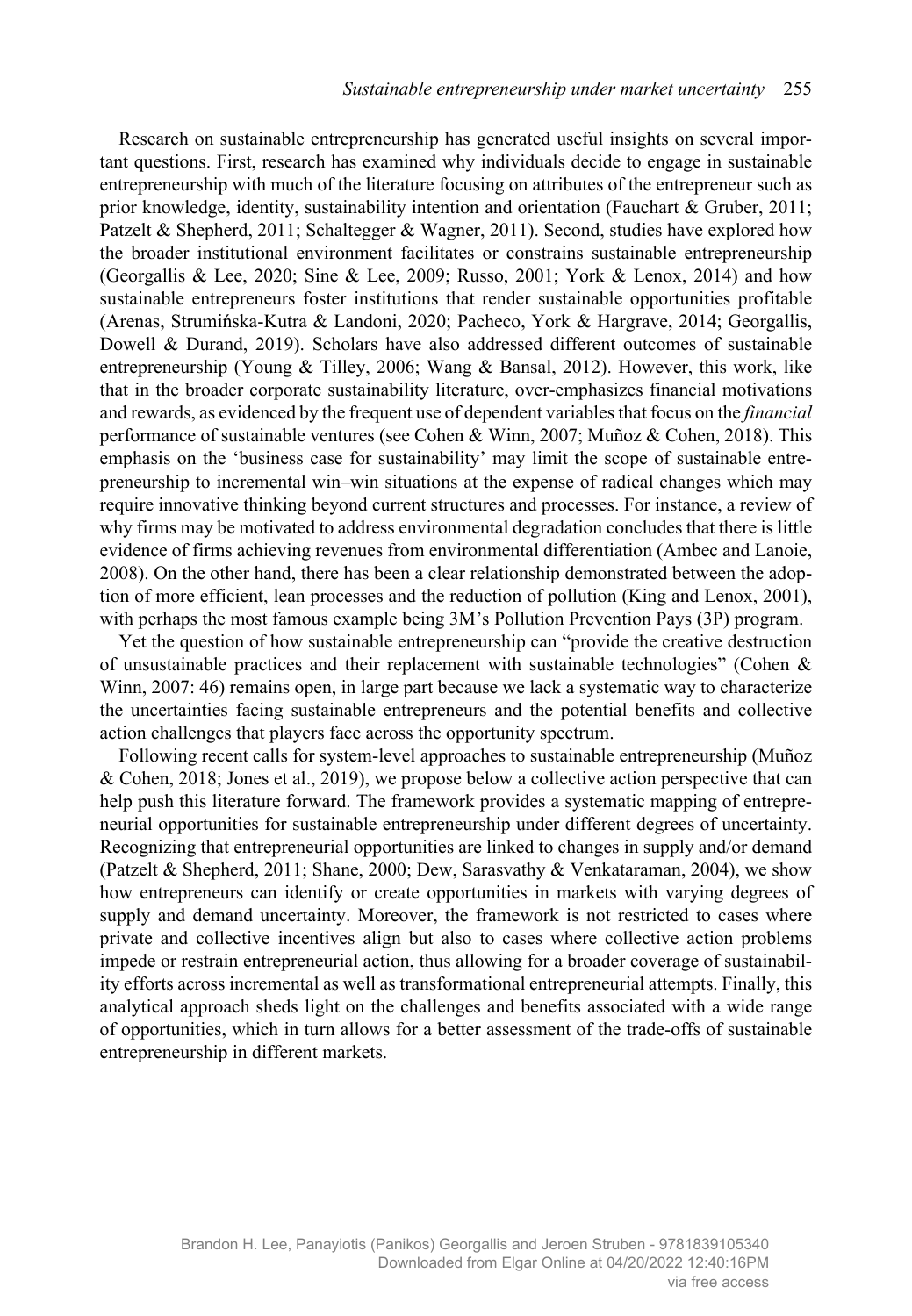Research on sustainable entrepreneurship has generated useful insights on several important questions. First, research has examined why individuals decide to engage in sustainable entrepreneurship with much of the literature focusing on attributes of the entrepreneur such as prior knowledge, identity, sustainability intention and orientation (Fauchart & Gruber, 2011; Patzelt & Shepherd, 2011; Schaltegger & Wagner, 2011). Second, studies have explored how the broader institutional environment facilitates or constrains sustainable entrepreneurship (Georgallis & Lee, 2020; Sine & Lee, 2009; Russo, 2001; York & Lenox, 2014) and how sustainable entrepreneurs foster institutions that render sustainable opportunities profitable (Arenas, Strumińska-Kutra & Landoni, 2020; Pacheco, York & Hargrave, 2014; Georgallis, Dowell & Durand, 2019). Scholars have also addressed different outcomes of sustainable entrepreneurship (Young & Tilley, 2006; Wang & Bansal, 2012). However, this work, like that in the broader corporate sustainability literature, over-emphasizes financial motivations and rewards, as evidenced by the frequent use of dependent variables that focus on the *financial* performance of sustainable ventures (see Cohen & Winn, 2007; Muñoz & Cohen, 2018). This emphasis on the 'business case for sustainability' may limit the scope of sustainable entrepreneurship to incremental win–win situations at the expense of radical changes which may require innovative thinking beyond current structures and processes. For instance, a review of why firms may be motivated to address environmental degradation concludes that there is little evidence of firms achieving revenues from environmental differentiation (Ambec and Lanoie, 2008). On the other hand, there has been a clear relationship demonstrated between the adoption of more efficient, lean processes and the reduction of pollution (King and Lenox, 2001), with perhaps the most famous example being 3M's Pollution Prevention Pays (3P) program.

Yet the question of how sustainable entrepreneurship can "provide the creative destruction of unsustainable practices and their replacement with sustainable technologies" (Cohen  $\&$ Winn, 2007: 46) remains open, in large part because we lack a systematic way to characterize the uncertainties facing sustainable entrepreneurs and the potential benefits and collective action challenges that players face across the opportunity spectrum.

Following recent calls for system-level approaches to sustainable entrepreneurship (Muñoz & Cohen, 2018; Jones et al., 2019), we propose below a collective action perspective that can help push this literature forward. The framework provides a systematic mapping of entrepreneurial opportunities for sustainable entrepreneurship under different degrees of uncertainty. Recognizing that entrepreneurial opportunities are linked to changes in supply and/or demand (Patzelt & Shepherd, 2011; Shane, 2000; Dew, Sarasvathy & Venkataraman, 2004), we show how entrepreneurs can identify or create opportunities in markets with varying degrees of supply and demand uncertainty. Moreover, the framework is not restricted to cases where private and collective incentives align but also to cases where collective action problems impede or restrain entrepreneurial action, thus allowing for a broader coverage of sustainability efforts across incremental as well as transformational entrepreneurial attempts. Finally, this analytical approach sheds light on the challenges and benefits associated with a wide range of opportunities, which in turn allows for a better assessment of the trade-offs of sustainable entrepreneurship in different markets.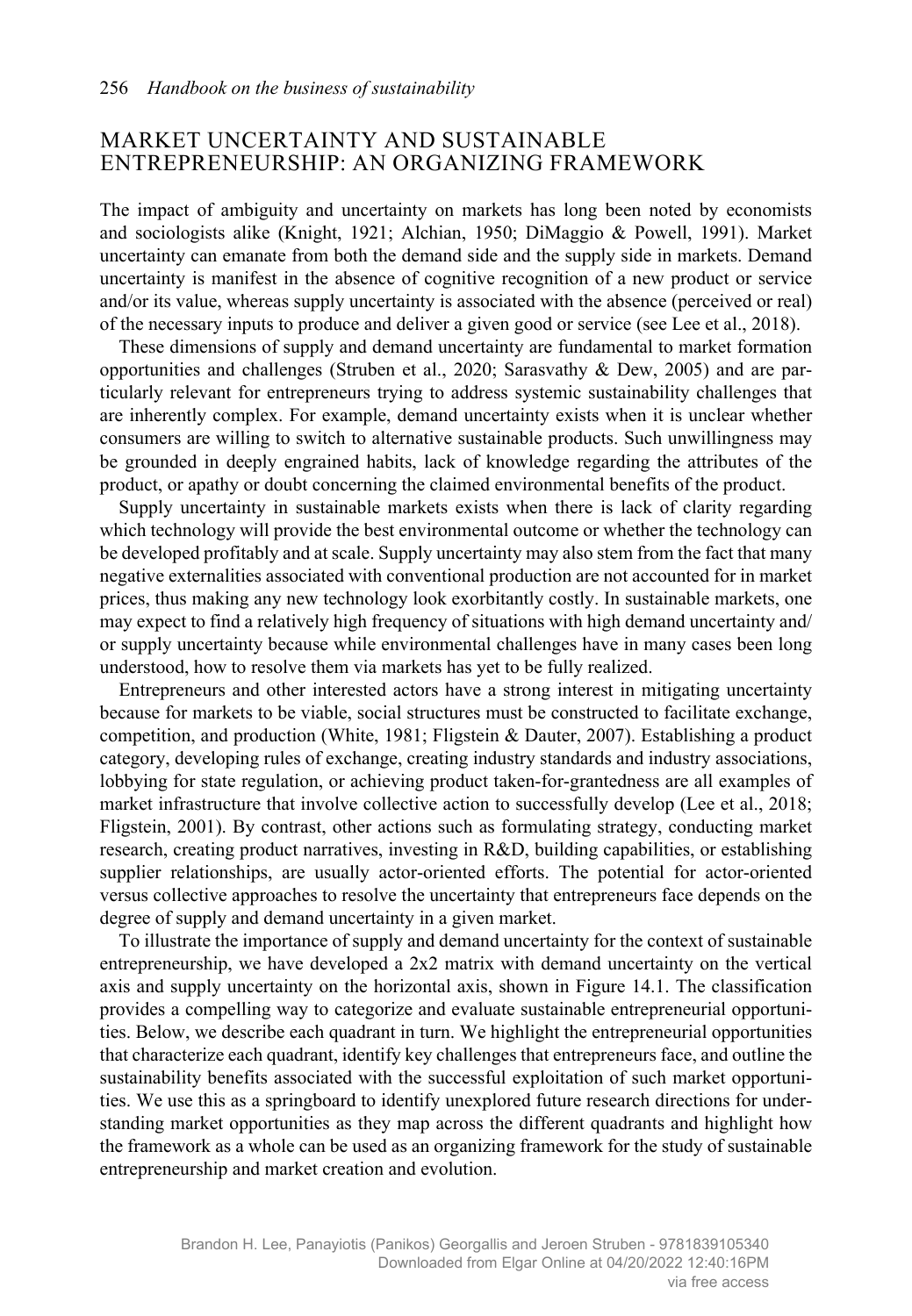## MARKET UNCERTAINTY AND SUSTAINABLE ENTREPRENEURSHIP: AN ORGANIZING FRAMEWORK

The impact of ambiguity and uncertainty on markets has long been noted by economists and sociologists alike (Knight, 1921; Alchian, 1950; DiMaggio & Powell, 1991). Market uncertainty can emanate from both the demand side and the supply side in markets. Demand uncertainty is manifest in the absence of cognitive recognition of a new product or service and/or its value, whereas supply uncertainty is associated with the absence (perceived or real) of the necessary inputs to produce and deliver a given good or service (see Lee et al., 2018).

These dimensions of supply and demand uncertainty are fundamental to market formation opportunities and challenges (Struben et al., 2020; Sarasvathy & Dew, 2005) and are particularly relevant for entrepreneurs trying to address systemic sustainability challenges that are inherently complex. For example, demand uncertainty exists when it is unclear whether consumers are willing to switch to alternative sustainable products. Such unwillingness may be grounded in deeply engrained habits, lack of knowledge regarding the attributes of the product, or apathy or doubt concerning the claimed environmental benefits of the product.

Supply uncertainty in sustainable markets exists when there is lack of clarity regarding which technology will provide the best environmental outcome or whether the technology can be developed profitably and at scale. Supply uncertainty may also stem from the fact that many negative externalities associated with conventional production are not accounted for in market prices, thus making any new technology look exorbitantly costly. In sustainable markets, one may expect to find a relatively high frequency of situations with high demand uncertainty and/ or supply uncertainty because while environmental challenges have in many cases been long understood, how to resolve them via markets has yet to be fully realized.

Entrepreneurs and other interested actors have a strong interest in mitigating uncertainty because for markets to be viable, social structures must be constructed to facilitate exchange, competition, and production (White, 1981; Fligstein & Dauter, 2007). Establishing a product category, developing rules of exchange, creating industry standards and industry associations, lobbying for state regulation, or achieving product taken-for-grantedness are all examples of market infrastructure that involve collective action to successfully develop (Lee et al., 2018; Fligstein, 2001). By contrast, other actions such as formulating strategy, conducting market research, creating product narratives, investing in R&D, building capabilities, or establishing supplier relationships, are usually actor-oriented efforts. The potential for actor-oriented versus collective approaches to resolve the uncertainty that entrepreneurs face depends on the degree of supply and demand uncertainty in a given market.

To illustrate the importance of supply and demand uncertainty for the context of sustainable entrepreneurship, we have developed a 2x2 matrix with demand uncertainty on the vertical axis and supply uncertainty on the horizontal axis, shown in Figure 14.1. The classification provides a compelling way to categorize and evaluate sustainable entrepreneurial opportunities. Below, we describe each quadrant in turn. We highlight the entrepreneurial opportunities that characterize each quadrant, identify key challenges that entrepreneurs face, and outline the sustainability benefits associated with the successful exploitation of such market opportunities. We use this as a springboard to identify unexplored future research directions for understanding market opportunities as they map across the different quadrants and highlight how the framework as a whole can be used as an organizing framework for the study of sustainable entrepreneurship and market creation and evolution.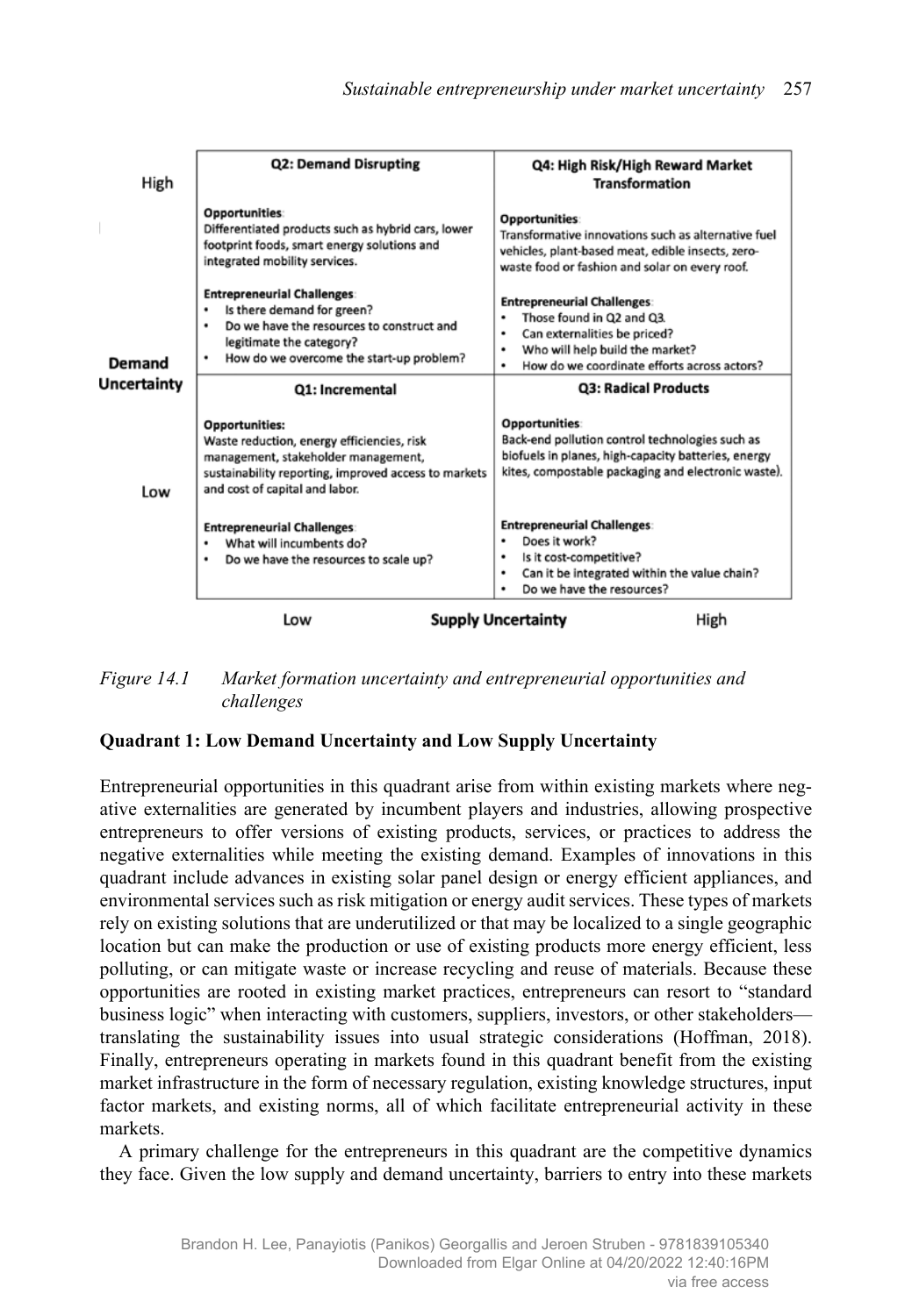| High                                     | <b>Q2: Demand Disrupting</b>                                                                                                                                                                  | Q4: High Risk/High Reward Market<br><b>Transformation</b>                                                                                                                                        |
|------------------------------------------|-----------------------------------------------------------------------------------------------------------------------------------------------------------------------------------------------|--------------------------------------------------------------------------------------------------------------------------------------------------------------------------------------------------|
|                                          | <b>Opportunities:</b><br>Differentiated products such as hybrid cars, lower<br>footprint foods, smart energy solutions and<br>integrated mobility services.                                   | <b>Opportunities:</b><br>Transformative innovations such as alternative fuel<br>vehicles, plant-based meat, edible insects, zero-<br>waste food or fashion and solar on every roof.              |
| Demand                                   | <b>Entrepreneurial Challenges:</b><br>Is there demand for green?<br>Do we have the resources to construct and<br>legitimate the category?<br>How do we overcome the start-up problem?         | <b>Entrepreneurial Challenges:</b><br>Those found in Q2 and Q3.<br>٠<br>Can externalities be priced?<br>٠<br>Who will help build the market?<br>٠<br>How do we coordinate efforts across actors? |
| Uncertainty                              | Q1: Incremental                                                                                                                                                                               | <b>Q3: Radical Products</b>                                                                                                                                                                      |
| Low                                      | Opportunities:<br>Waste reduction, energy efficiencies, risk<br>management, stakeholder management,<br>sustainability reporting, improved access to markets<br>and cost of capital and labor. | Opportunities:<br>Back-end pollution control technologies such as<br>biofuels in planes, high-capacity batteries, energy<br>kites, compostable packaging and electronic waste).                  |
|                                          | <b>Entrepreneurial Challenges:</b><br>What will incumbents do?<br>٠<br>Do we have the resources to scale up?                                                                                  | <b>Entrepreneurial Challenges:</b><br>Does it work?<br>Is it cost-competitive?<br>٠<br>Can it be integrated within the value chain?<br>٠<br>Do we have the resources?                            |
| <b>Supply Uncertainty</b><br>High<br>Low |                                                                                                                                                                                               |                                                                                                                                                                                                  |

*Figure 14.1 Market formation uncertainty and entrepreneurial opportunities and challenges*

## **Quadrant 1: Low Demand Uncertainty and Low Supply Uncertainty**

Entrepreneurial opportunities in this quadrant arise from within existing markets where negative externalities are generated by incumbent players and industries, allowing prospective entrepreneurs to offer versions of existing products, services, or practices to address the negative externalities while meeting the existing demand. Examples of innovations in this quadrant include advances in existing solar panel design or energy efficient appliances, and environmental services such as risk mitigation or energy audit services. These types of markets rely on existing solutions that are underutilized or that may be localized to a single geographic location but can make the production or use of existing products more energy efficient, less polluting, or can mitigate waste or increase recycling and reuse of materials. Because these opportunities are rooted in existing market practices, entrepreneurs can resort to "standard business logic" when interacting with customers, suppliers, investors, or other stakeholders translating the sustainability issues into usual strategic considerations (Hoffman, 2018). Finally, entrepreneurs operating in markets found in this quadrant benefit from the existing market infrastructure in the form of necessary regulation, existing knowledge structures, input factor markets, and existing norms, all of which facilitate entrepreneurial activity in these markets.

A primary challenge for the entrepreneurs in this quadrant are the competitive dynamics they face. Given the low supply and demand uncertainty, barriers to entry into these markets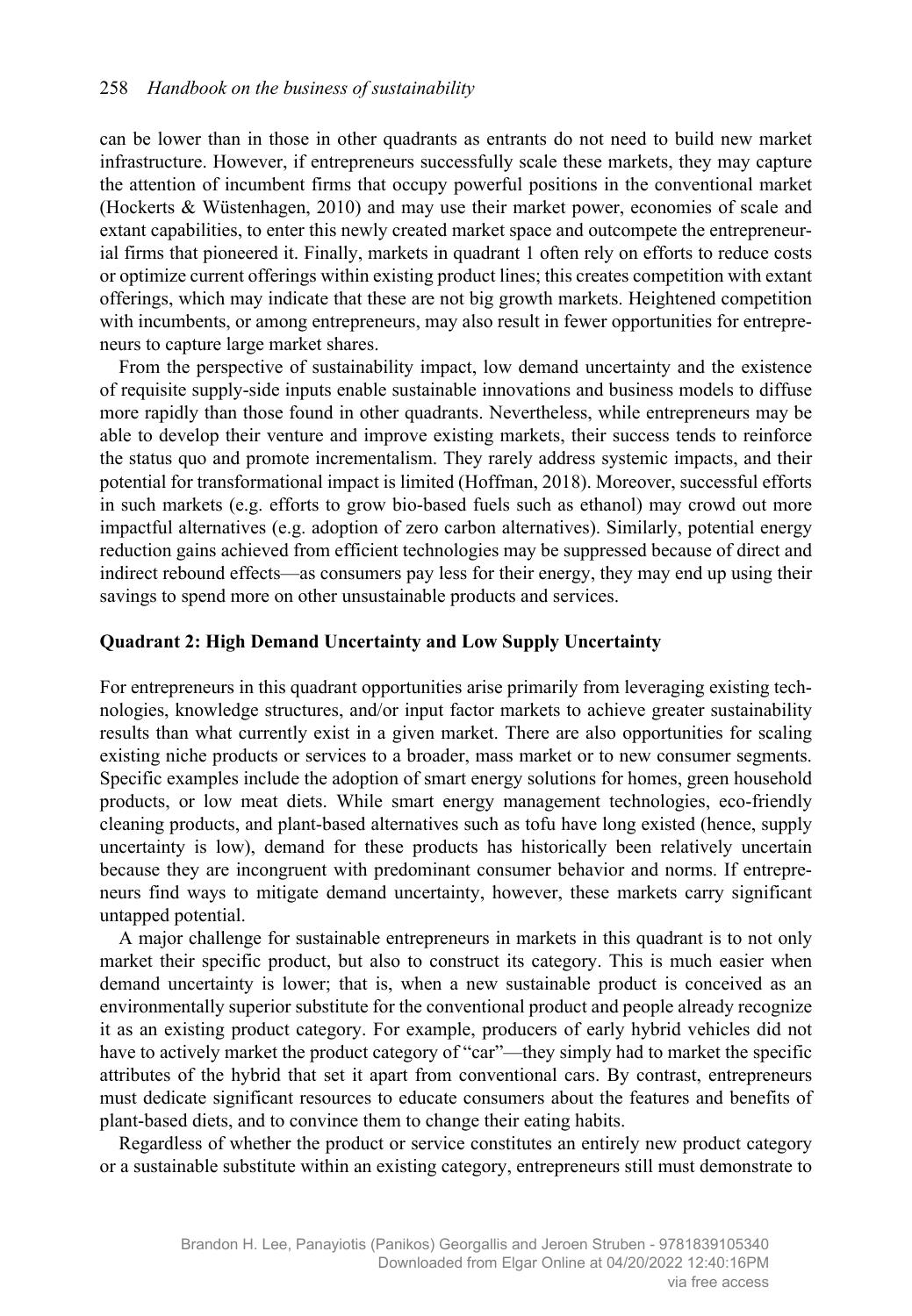can be lower than in those in other quadrants as entrants do not need to build new market infrastructure. However, if entrepreneurs successfully scale these markets, they may capture the attention of incumbent firms that occupy powerful positions in the conventional market (Hockerts & Wüstenhagen, 2010) and may use their market power, economies of scale and extant capabilities, to enter this newly created market space and outcompete the entrepreneurial firms that pioneered it. Finally, markets in quadrant 1 often rely on efforts to reduce costs or optimize current offerings within existing product lines; this creates competition with extant offerings, which may indicate that these are not big growth markets. Heightened competition with incumbents, or among entrepreneurs, may also result in fewer opportunities for entrepreneurs to capture large market shares.

From the perspective of sustainability impact, low demand uncertainty and the existence of requisite supply-side inputs enable sustainable innovations and business models to diffuse more rapidly than those found in other quadrants. Nevertheless, while entrepreneurs may be able to develop their venture and improve existing markets, their success tends to reinforce the status quo and promote incrementalism. They rarely address systemic impacts, and their potential for transformational impact is limited (Hoffman, 2018). Moreover, successful efforts in such markets (e.g. efforts to grow bio-based fuels such as ethanol) may crowd out more impactful alternatives (e.g. adoption of zero carbon alternatives). Similarly, potential energy reduction gains achieved from efficient technologies may be suppressed because of direct and indirect rebound effects—as consumers pay less for their energy, they may end up using their savings to spend more on other unsustainable products and services.

#### **Quadrant 2: High Demand Uncertainty and Low Supply Uncertainty**

For entrepreneurs in this quadrant opportunities arise primarily from leveraging existing technologies, knowledge structures, and/or input factor markets to achieve greater sustainability results than what currently exist in a given market. There are also opportunities for scaling existing niche products or services to a broader, mass market or to new consumer segments. Specific examples include the adoption of smart energy solutions for homes, green household products, or low meat diets. While smart energy management technologies, eco-friendly cleaning products, and plant-based alternatives such as tofu have long existed (hence, supply uncertainty is low), demand for these products has historically been relatively uncertain because they are incongruent with predominant consumer behavior and norms. If entrepreneurs find ways to mitigate demand uncertainty, however, these markets carry significant untapped potential.

A major challenge for sustainable entrepreneurs in markets in this quadrant is to not only market their specific product, but also to construct its category. This is much easier when demand uncertainty is lower; that is, when a new sustainable product is conceived as an environmentally superior substitute for the conventional product and people already recognize it as an existing product category. For example, producers of early hybrid vehicles did not have to actively market the product category of "car"—they simply had to market the specific attributes of the hybrid that set it apart from conventional cars. By contrast, entrepreneurs must dedicate significant resources to educate consumers about the features and benefits of plant-based diets, and to convince them to change their eating habits.

Regardless of whether the product or service constitutes an entirely new product category or a sustainable substitute within an existing category, entrepreneurs still must demonstrate to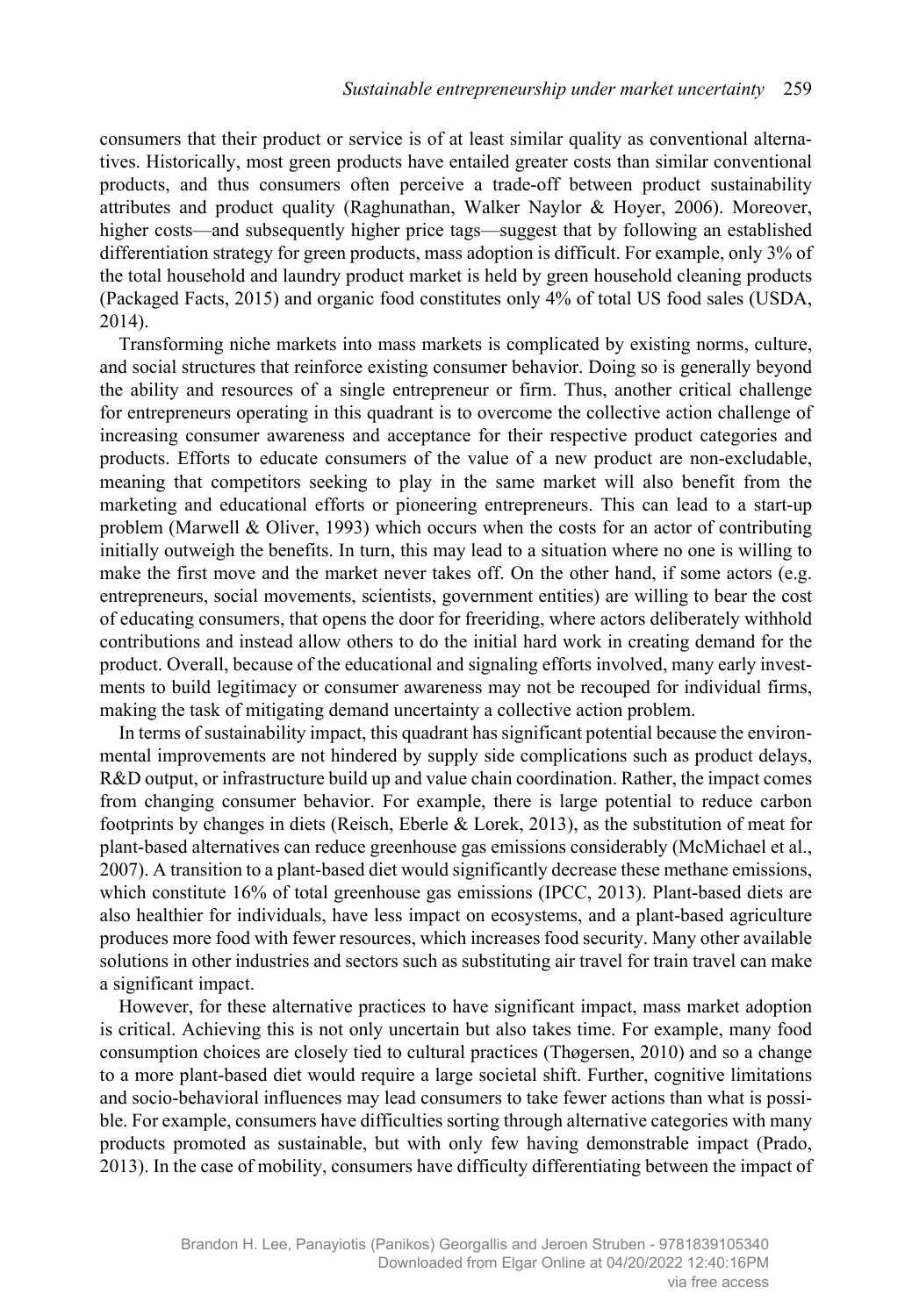consumers that their product or service is of at least similar quality as conventional alternatives. Historically, most green products have entailed greater costs than similar conventional products, and thus consumers often perceive a trade-off between product sustainability attributes and product quality (Raghunathan, Walker Naylor & Hoyer, 2006). Moreover, higher costs—and subsequently higher price tags—suggest that by following an established differentiation strategy for green products, mass adoption is difficult. For example, only 3% of the total household and laundry product market is held by green household cleaning products (Packaged Facts, 2015) and organic food constitutes only 4% of total US food sales (USDA, 2014).

Transforming niche markets into mass markets is complicated by existing norms, culture, and social structures that reinforce existing consumer behavior. Doing so is generally beyond the ability and resources of a single entrepreneur or firm. Thus, another critical challenge for entrepreneurs operating in this quadrant is to overcome the collective action challenge of increasing consumer awareness and acceptance for their respective product categories and products. Efforts to educate consumers of the value of a new product are non-excludable, meaning that competitors seeking to play in the same market will also benefit from the marketing and educational efforts or pioneering entrepreneurs. This can lead to a start-up problem (Marwell & Oliver, 1993) which occurs when the costs for an actor of contributing initially outweigh the benefits. In turn, this may lead to a situation where no one is willing to make the first move and the market never takes off. On the other hand, if some actors (e.g. entrepreneurs, social movements, scientists, government entities) are willing to bear the cost of educating consumers, that opens the door for freeriding, where actors deliberately withhold contributions and instead allow others to do the initial hard work in creating demand for the product. Overall, because of the educational and signaling efforts involved, many early investments to build legitimacy or consumer awareness may not be recouped for individual firms, making the task of mitigating demand uncertainty a collective action problem.

In terms of sustainability impact, this quadrant has significant potential because the environmental improvements are not hindered by supply side complications such as product delays, R&D output, or infrastructure build up and value chain coordination. Rather, the impact comes from changing consumer behavior. For example, there is large potential to reduce carbon footprints by changes in diets (Reisch, Eberle & Lorek, 2013), as the substitution of meat for plant-based alternatives can reduce greenhouse gas emissions considerably (McMichael et al., 2007). A transition to a plant-based diet would significantly decrease these methane emissions, which constitute 16% of total greenhouse gas emissions (IPCC, 2013). Plant-based diets are also healthier for individuals, have less impact on ecosystems, and a plant-based agriculture produces more food with fewer resources, which increases food security. Many other available solutions in other industries and sectors such as substituting air travel for train travel can make a significant impact.

However, for these alternative practices to have significant impact, mass market adoption is critical. Achieving this is not only uncertain but also takes time. For example, many food consumption choices are closely tied to cultural practices (Thøgersen, 2010) and so a change to a more plant-based diet would require a large societal shift. Further, cognitive limitations and socio-behavioral influences may lead consumers to take fewer actions than what is possible. For example, consumers have difficulties sorting through alternative categories with many products promoted as sustainable, but with only few having demonstrable impact (Prado, 2013). In the case of mobility, consumers have difficulty differentiating between the impact of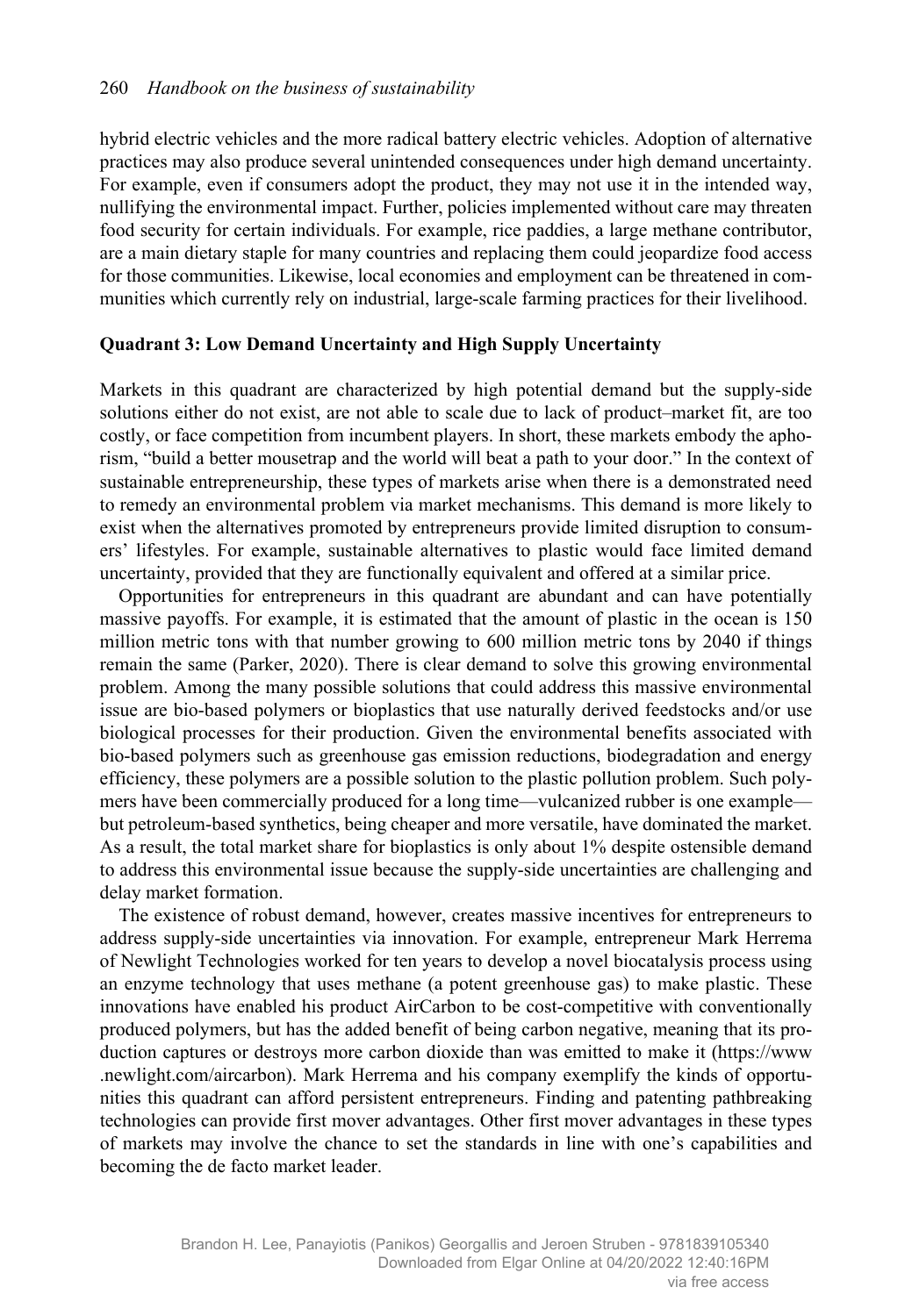hybrid electric vehicles and the more radical battery electric vehicles. Adoption of alternative practices may also produce several unintended consequences under high demand uncertainty. For example, even if consumers adopt the product, they may not use it in the intended way, nullifying the environmental impact. Further, policies implemented without care may threaten food security for certain individuals. For example, rice paddies, a large methane contributor, are a main dietary staple for many countries and replacing them could jeopardize food access for those communities. Likewise, local economies and employment can be threatened in communities which currently rely on industrial, large-scale farming practices for their livelihood.

#### **Quadrant 3: Low Demand Uncertainty and High Supply Uncertainty**

Markets in this quadrant are characterized by high potential demand but the supply-side solutions either do not exist, are not able to scale due to lack of product–market fit, are too costly, or face competition from incumbent players. In short, these markets embody the aphorism, "build a better mousetrap and the world will beat a path to your door." In the context of sustainable entrepreneurship, these types of markets arise when there is a demonstrated need to remedy an environmental problem via market mechanisms. This demand is more likely to exist when the alternatives promoted by entrepreneurs provide limited disruption to consumers' lifestyles. For example, sustainable alternatives to plastic would face limited demand uncertainty, provided that they are functionally equivalent and offered at a similar price.

Opportunities for entrepreneurs in this quadrant are abundant and can have potentially massive payoffs. For example, it is estimated that the amount of plastic in the ocean is 150 million metric tons with that number growing to 600 million metric tons by 2040 if things remain the same (Parker, 2020). There is clear demand to solve this growing environmental problem. Among the many possible solutions that could address this massive environmental issue are bio-based polymers or bioplastics that use naturally derived feedstocks and/or use biological processes for their production. Given the environmental benefits associated with bio-based polymers such as greenhouse gas emission reductions, biodegradation and energy efficiency, these polymers are a possible solution to the plastic pollution problem. Such polymers have been commercially produced for a long time—vulcanized rubber is one example but petroleum-based synthetics, being cheaper and more versatile, have dominated the market. As a result, the total market share for bioplastics is only about 1% despite ostensible demand to address this environmental issue because the supply-side uncertainties are challenging and delay market formation.

The existence of robust demand, however, creates massive incentives for entrepreneurs to address supply-side uncertainties via innovation. For example, entrepreneur Mark Herrema of Newlight Technologies worked for ten years to develop a novel biocatalysis process using an enzyme technology that uses methane (a potent greenhouse gas) to make plastic. These innovations have enabled his product AirCarbon to be cost-competitive with conventionally produced polymers, but has the added benefit of being carbon negative, meaning that its production captures or destroys more carbon dioxide than was emitted to make it (https://www .newlight.com/aircarbon). Mark Herrema and his company exemplify the kinds of opportunities this quadrant can afford persistent entrepreneurs. Finding and patenting pathbreaking technologies can provide first mover advantages. Other first mover advantages in these types of markets may involve the chance to set the standards in line with one's capabilities and becoming the de facto market leader.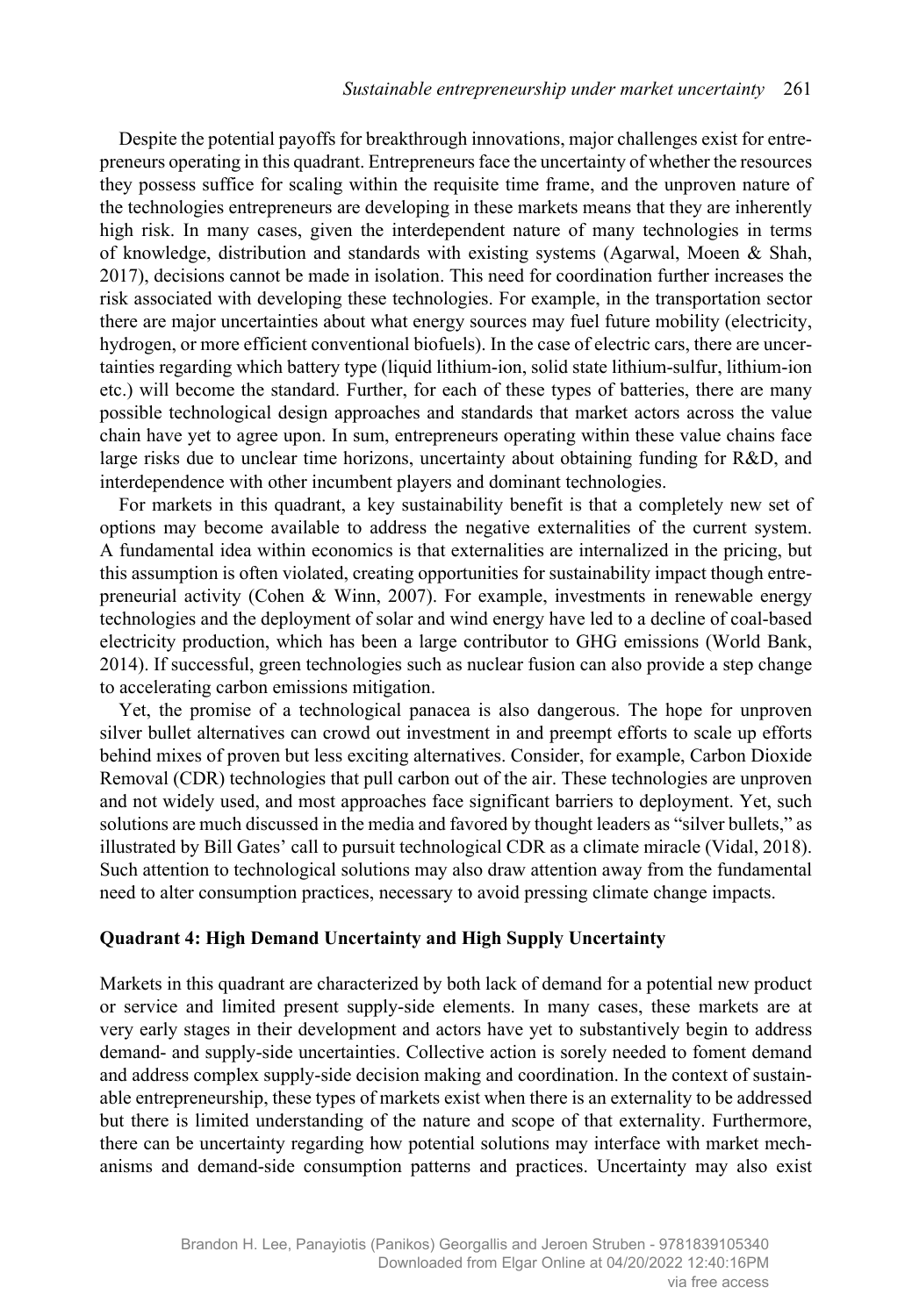Despite the potential payoffs for breakthrough innovations, major challenges exist for entrepreneurs operating in this quadrant. Entrepreneurs face the uncertainty of whether the resources they possess suffice for scaling within the requisite time frame, and the unproven nature of the technologies entrepreneurs are developing in these markets means that they are inherently high risk. In many cases, given the interdependent nature of many technologies in terms of knowledge, distribution and standards with existing systems (Agarwal, Moeen & Shah, 2017), decisions cannot be made in isolation. This need for coordination further increases the risk associated with developing these technologies. For example, in the transportation sector there are major uncertainties about what energy sources may fuel future mobility (electricity, hydrogen, or more efficient conventional biofuels). In the case of electric cars, there are uncertainties regarding which battery type (liquid lithium-ion, solid state lithium-sulfur, lithium-ion etc.) will become the standard. Further, for each of these types of batteries, there are many possible technological design approaches and standards that market actors across the value chain have yet to agree upon. In sum, entrepreneurs operating within these value chains face large risks due to unclear time horizons, uncertainty about obtaining funding for R&D, and interdependence with other incumbent players and dominant technologies.

For markets in this quadrant, a key sustainability benefit is that a completely new set of options may become available to address the negative externalities of the current system. A fundamental idea within economics is that externalities are internalized in the pricing, but this assumption is often violated, creating opportunities for sustainability impact though entrepreneurial activity (Cohen & Winn, 2007). For example, investments in renewable energy technologies and the deployment of solar and wind energy have led to a decline of coal-based electricity production, which has been a large contributor to GHG emissions (World Bank, 2014). If successful, green technologies such as nuclear fusion can also provide a step change to accelerating carbon emissions mitigation.

Yet, the promise of a technological panacea is also dangerous. The hope for unproven silver bullet alternatives can crowd out investment in and preempt efforts to scale up efforts behind mixes of proven but less exciting alternatives. Consider, for example, Carbon Dioxide Removal (CDR) technologies that pull carbon out of the air. These technologies are unproven and not widely used, and most approaches face significant barriers to deployment. Yet, such solutions are much discussed in the media and favored by thought leaders as "silver bullets," as illustrated by Bill Gates' call to pursuit technological CDR as a climate miracle (Vidal, 2018). Such attention to technological solutions may also draw attention away from the fundamental need to alter consumption practices, necessary to avoid pressing climate change impacts.

#### **Quadrant 4: High Demand Uncertainty and High Supply Uncertainty**

Markets in this quadrant are characterized by both lack of demand for a potential new product or service and limited present supply-side elements. In many cases, these markets are at very early stages in their development and actors have yet to substantively begin to address demand- and supply-side uncertainties. Collective action is sorely needed to foment demand and address complex supply-side decision making and coordination. In the context of sustainable entrepreneurship, these types of markets exist when there is an externality to be addressed but there is limited understanding of the nature and scope of that externality. Furthermore, there can be uncertainty regarding how potential solutions may interface with market mechanisms and demand-side consumption patterns and practices. Uncertainty may also exist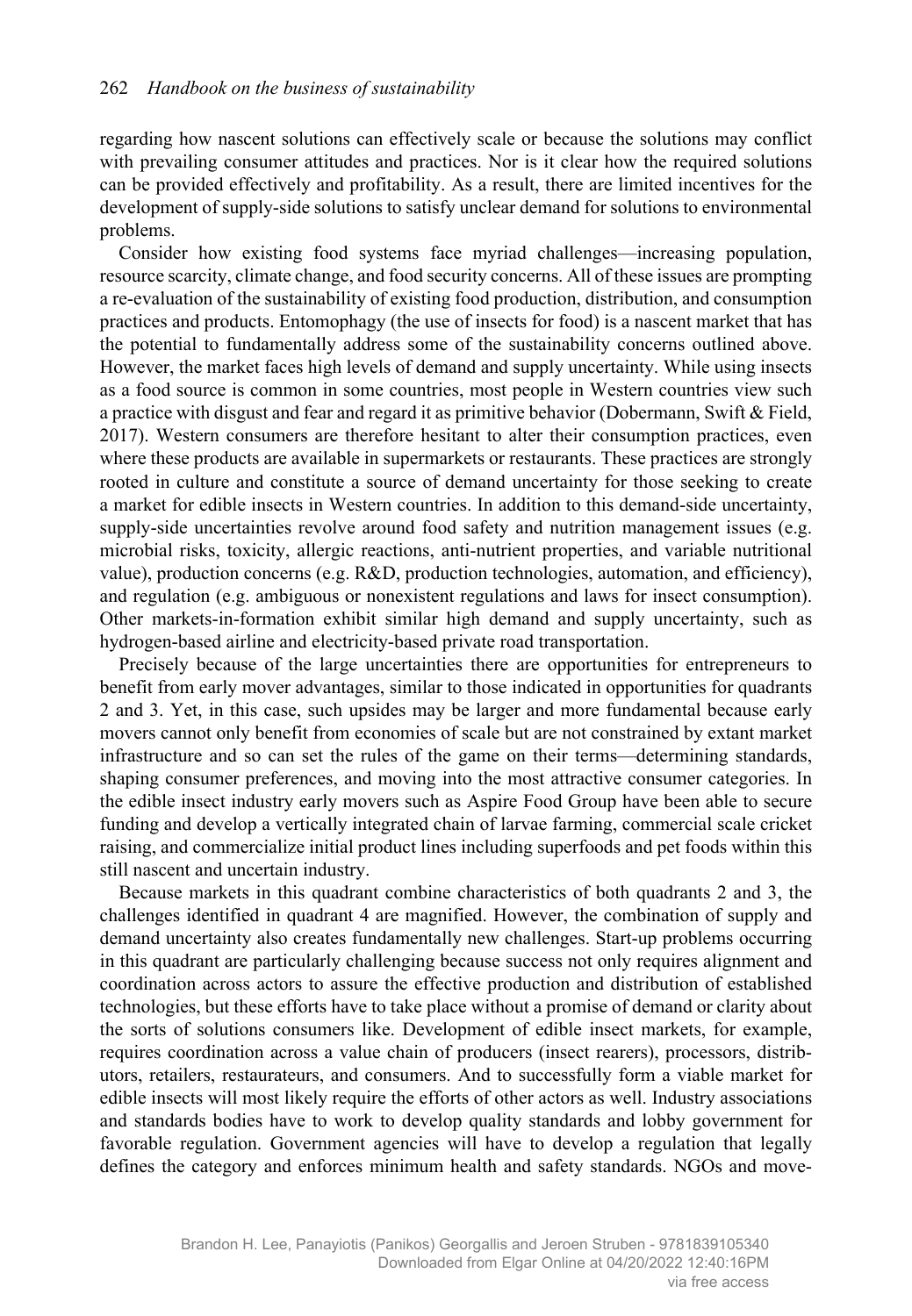regarding how nascent solutions can effectively scale or because the solutions may conflict with prevailing consumer attitudes and practices. Nor is it clear how the required solutions can be provided effectively and profitability. As a result, there are limited incentives for the development of supply-side solutions to satisfy unclear demand for solutions to environmental problems.

Consider how existing food systems face myriad challenges—increasing population, resource scarcity, climate change, and food security concerns. All of these issues are prompting a re-evaluation of the sustainability of existing food production, distribution, and consumption practices and products. Entomophagy (the use of insects for food) is a nascent market that has the potential to fundamentally address some of the sustainability concerns outlined above. However, the market faces high levels of demand and supply uncertainty. While using insects as a food source is common in some countries, most people in Western countries view such a practice with disgust and fear and regard it as primitive behavior (Dobermann, Swift & Field, 2017). Western consumers are therefore hesitant to alter their consumption practices, even where these products are available in supermarkets or restaurants. These practices are strongly rooted in culture and constitute a source of demand uncertainty for those seeking to create a market for edible insects in Western countries. In addition to this demand-side uncertainty, supply-side uncertainties revolve around food safety and nutrition management issues (e.g. microbial risks, toxicity, allergic reactions, anti-nutrient properties, and variable nutritional value), production concerns (e.g. R&D, production technologies, automation, and efficiency), and regulation (e.g. ambiguous or nonexistent regulations and laws for insect consumption). Other markets-in-formation exhibit similar high demand and supply uncertainty, such as hydrogen-based airline and electricity-based private road transportation.

Precisely because of the large uncertainties there are opportunities for entrepreneurs to benefit from early mover advantages, similar to those indicated in opportunities for quadrants 2 and 3. Yet, in this case, such upsides may be larger and more fundamental because early movers cannot only benefit from economies of scale but are not constrained by extant market infrastructure and so can set the rules of the game on their terms—determining standards, shaping consumer preferences, and moving into the most attractive consumer categories. In the edible insect industry early movers such as Aspire Food Group have been able to secure funding and develop a vertically integrated chain of larvae farming, commercial scale cricket raising, and commercialize initial product lines including superfoods and pet foods within this still nascent and uncertain industry.

Because markets in this quadrant combine characteristics of both quadrants 2 and 3, the challenges identified in quadrant 4 are magnified. However, the combination of supply and demand uncertainty also creates fundamentally new challenges. Start-up problems occurring in this quadrant are particularly challenging because success not only requires alignment and coordination across actors to assure the effective production and distribution of established technologies, but these efforts have to take place without a promise of demand or clarity about the sorts of solutions consumers like. Development of edible insect markets, for example, requires coordination across a value chain of producers (insect rearers), processors, distributors, retailers, restaurateurs, and consumers. And to successfully form a viable market for edible insects will most likely require the efforts of other actors as well. Industry associations and standards bodies have to work to develop quality standards and lobby government for favorable regulation. Government agencies will have to develop a regulation that legally defines the category and enforces minimum health and safety standards. NGOs and move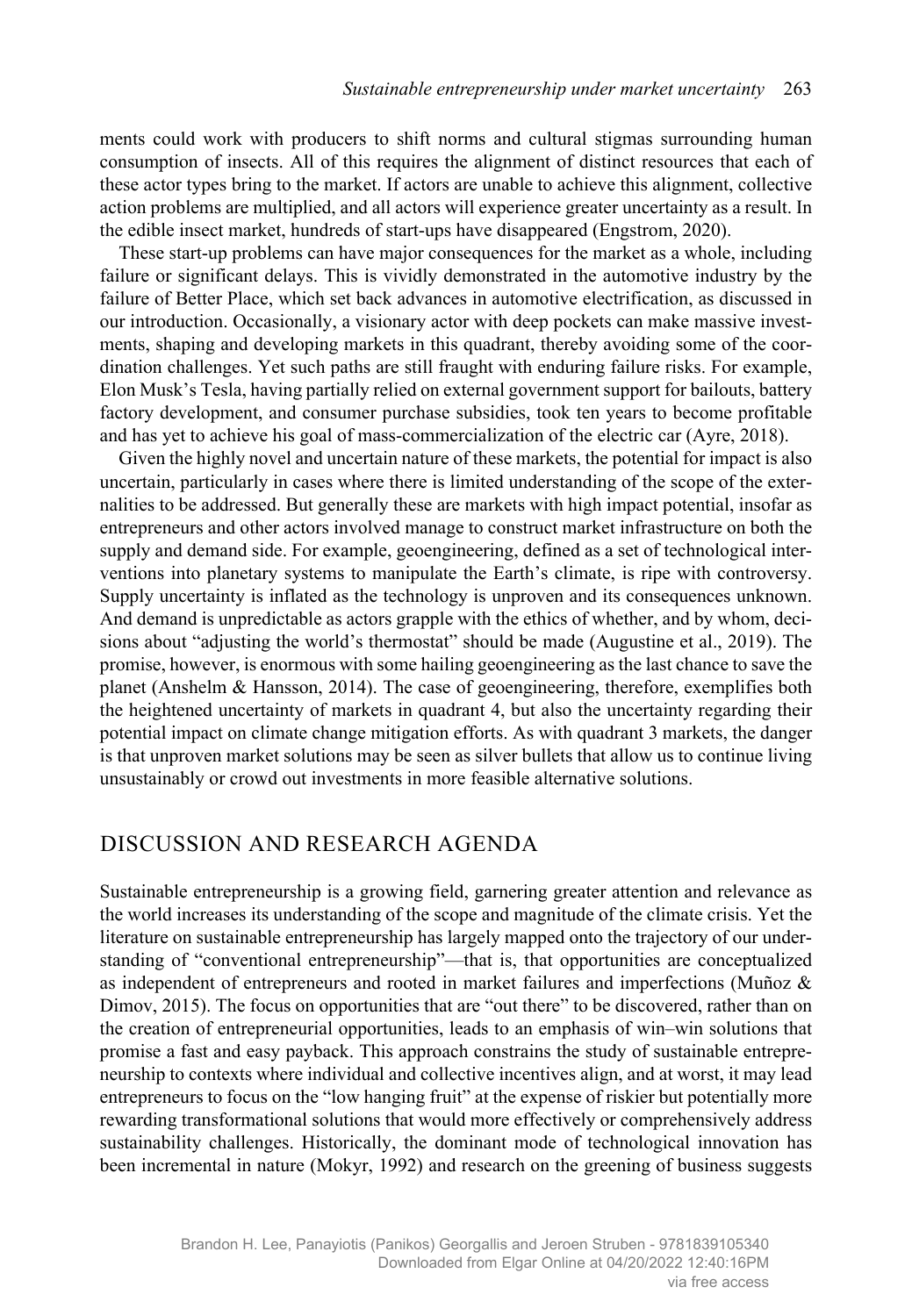ments could work with producers to shift norms and cultural stigmas surrounding human consumption of insects. All of this requires the alignment of distinct resources that each of these actor types bring to the market. If actors are unable to achieve this alignment, collective action problems are multiplied, and all actors will experience greater uncertainty as a result. In the edible insect market, hundreds of start-ups have disappeared (Engstrom, 2020).

These start-up problems can have major consequences for the market as a whole, including failure or significant delays. This is vividly demonstrated in the automotive industry by the failure of Better Place, which set back advances in automotive electrification, as discussed in our introduction. Occasionally, a visionary actor with deep pockets can make massive investments, shaping and developing markets in this quadrant, thereby avoiding some of the coordination challenges. Yet such paths are still fraught with enduring failure risks. For example, Elon Musk's Tesla, having partially relied on external government support for bailouts, battery factory development, and consumer purchase subsidies, took ten years to become profitable and has yet to achieve his goal of mass-commercialization of the electric car (Ayre, 2018).

Given the highly novel and uncertain nature of these markets, the potential for impact is also uncertain, particularly in cases where there is limited understanding of the scope of the externalities to be addressed. But generally these are markets with high impact potential, insofar as entrepreneurs and other actors involved manage to construct market infrastructure on both the supply and demand side. For example, geoengineering, defined as a set of technological interventions into planetary systems to manipulate the Earth's climate, is ripe with controversy. Supply uncertainty is inflated as the technology is unproven and its consequences unknown. And demand is unpredictable as actors grapple with the ethics of whether, and by whom, decisions about "adjusting the world's thermostat" should be made (Augustine et al., 2019). The promise, however, is enormous with some hailing geoengineering as the last chance to save the planet (Anshelm & Hansson, 2014). The case of geoengineering, therefore, exemplifies both the heightened uncertainty of markets in quadrant 4, but also the uncertainty regarding their potential impact on climate change mitigation efforts. As with quadrant 3 markets, the danger is that unproven market solutions may be seen as silver bullets that allow us to continue living unsustainably or crowd out investments in more feasible alternative solutions.

## DISCUSSION AND RESEARCH AGENDA

Sustainable entrepreneurship is a growing field, garnering greater attention and relevance as the world increases its understanding of the scope and magnitude of the climate crisis. Yet the literature on sustainable entrepreneurship has largely mapped onto the trajectory of our understanding of "conventional entrepreneurship"—that is, that opportunities are conceptualized as independent of entrepreneurs and rooted in market failures and imperfections (Muñoz & Dimov, 2015). The focus on opportunities that are "out there" to be discovered, rather than on the creation of entrepreneurial opportunities, leads to an emphasis of win–win solutions that promise a fast and easy payback. This approach constrains the study of sustainable entrepreneurship to contexts where individual and collective incentives align, and at worst, it may lead entrepreneurs to focus on the "low hanging fruit" at the expense of riskier but potentially more rewarding transformational solutions that would more effectively or comprehensively address sustainability challenges. Historically, the dominant mode of technological innovation has been incremental in nature (Mokyr, 1992) and research on the greening of business suggests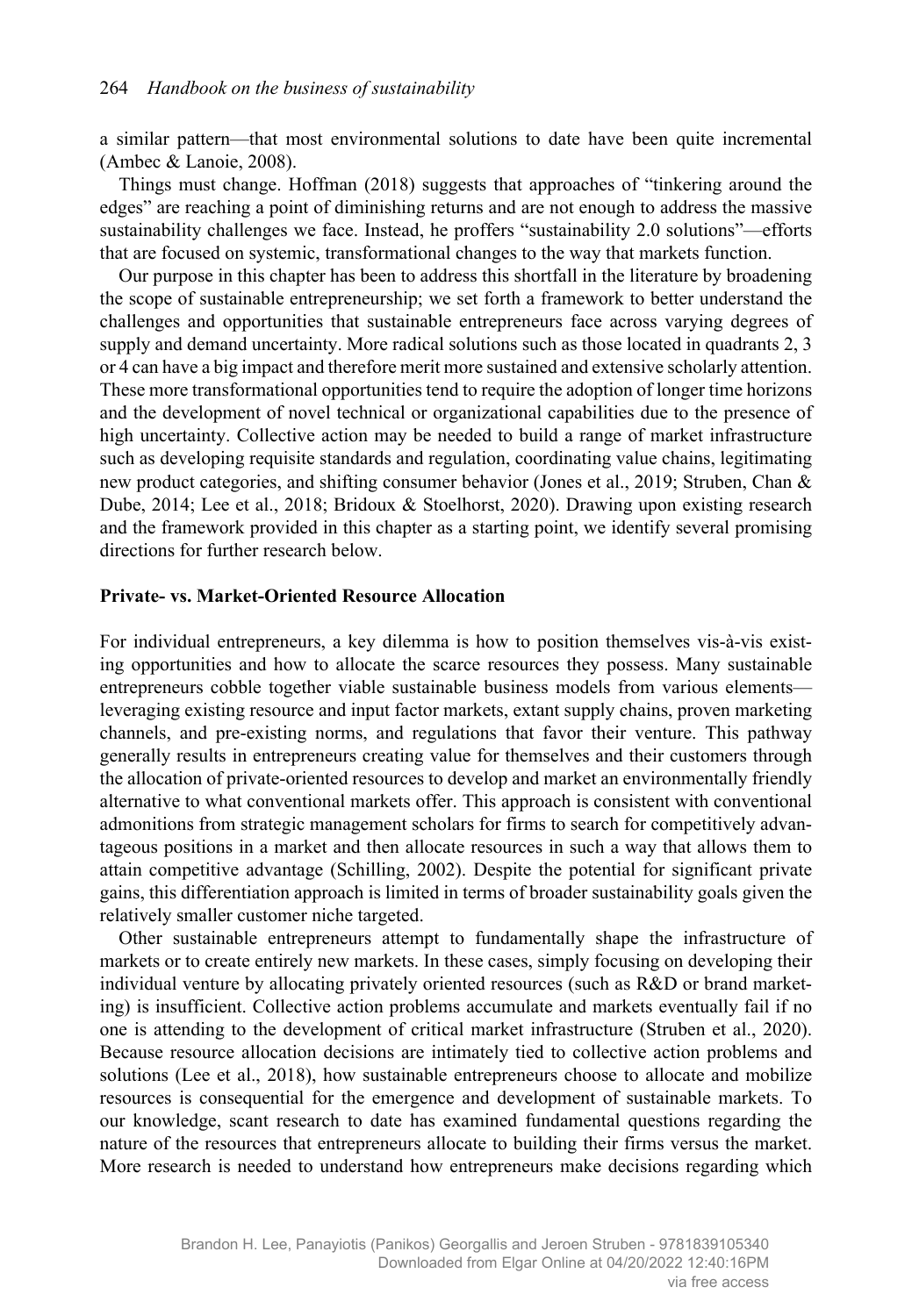a similar pattern—that most environmental solutions to date have been quite incremental (Ambec & Lanoie, 2008).

Things must change. Hoffman (2018) suggests that approaches of "tinkering around the edges" are reaching a point of diminishing returns and are not enough to address the massive sustainability challenges we face. Instead, he proffers "sustainability 2.0 solutions"—efforts that are focused on systemic, transformational changes to the way that markets function.

Our purpose in this chapter has been to address this shortfall in the literature by broadening the scope of sustainable entrepreneurship; we set forth a framework to better understand the challenges and opportunities that sustainable entrepreneurs face across varying degrees of supply and demand uncertainty. More radical solutions such as those located in quadrants 2, 3 or 4 can have a big impact and therefore merit more sustained and extensive scholarly attention. These more transformational opportunities tend to require the adoption of longer time horizons and the development of novel technical or organizational capabilities due to the presence of high uncertainty. Collective action may be needed to build a range of market infrastructure such as developing requisite standards and regulation, coordinating value chains, legitimating new product categories, and shifting consumer behavior (Jones et al., 2019; Struben, Chan & Dube, 2014; Lee et al., 2018; Bridoux & Stoelhorst, 2020). Drawing upon existing research and the framework provided in this chapter as a starting point, we identify several promising directions for further research below.

#### **Private- vs. Market-Oriented Resource Allocation**

For individual entrepreneurs, a key dilemma is how to position themselves vis-à-vis existing opportunities and how to allocate the scarce resources they possess. Many sustainable entrepreneurs cobble together viable sustainable business models from various elements leveraging existing resource and input factor markets, extant supply chains, proven marketing channels, and pre-existing norms, and regulations that favor their venture. This pathway generally results in entrepreneurs creating value for themselves and their customers through the allocation of private-oriented resources to develop and market an environmentally friendly alternative to what conventional markets offer. This approach is consistent with conventional admonitions from strategic management scholars for firms to search for competitively advantageous positions in a market and then allocate resources in such a way that allows them to attain competitive advantage (Schilling, 2002). Despite the potential for significant private gains, this differentiation approach is limited in terms of broader sustainability goals given the relatively smaller customer niche targeted.

Other sustainable entrepreneurs attempt to fundamentally shape the infrastructure of markets or to create entirely new markets. In these cases, simply focusing on developing their individual venture by allocating privately oriented resources (such as R&D or brand marketing) is insufficient. Collective action problems accumulate and markets eventually fail if no one is attending to the development of critical market infrastructure (Struben et al., 2020). Because resource allocation decisions are intimately tied to collective action problems and solutions (Lee et al., 2018), how sustainable entrepreneurs choose to allocate and mobilize resources is consequential for the emergence and development of sustainable markets. To our knowledge, scant research to date has examined fundamental questions regarding the nature of the resources that entrepreneurs allocate to building their firms versus the market. More research is needed to understand how entrepreneurs make decisions regarding which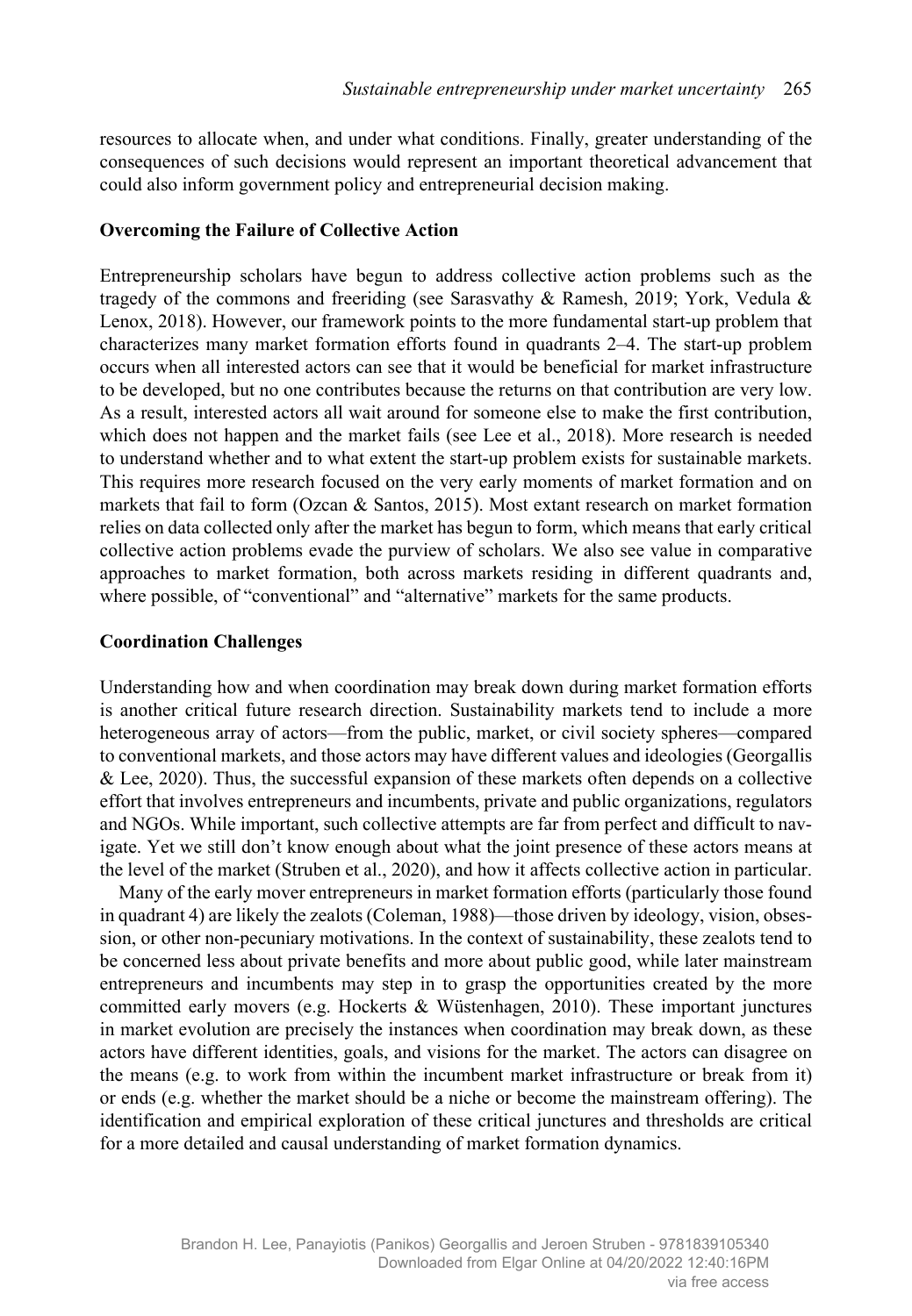resources to allocate when, and under what conditions. Finally, greater understanding of the consequences of such decisions would represent an important theoretical advancement that could also inform government policy and entrepreneurial decision making.

#### **Overcoming the Failure of Collective Action**

Entrepreneurship scholars have begun to address collective action problems such as the tragedy of the commons and freeriding (see Sarasvathy & Ramesh, 2019; York, Vedula & Lenox, 2018). However, our framework points to the more fundamental start-up problem that characterizes many market formation efforts found in quadrants 2‒4. The start-up problem occurs when all interested actors can see that it would be beneficial for market infrastructure to be developed, but no one contributes because the returns on that contribution are very low. As a result, interested actors all wait around for someone else to make the first contribution, which does not happen and the market fails (see Lee et al., 2018). More research is needed to understand whether and to what extent the start-up problem exists for sustainable markets. This requires more research focused on the very early moments of market formation and on markets that fail to form (Ozcan & Santos, 2015). Most extant research on market formation relies on data collected only after the market has begun to form, which means that early critical collective action problems evade the purview of scholars. We also see value in comparative approaches to market formation, both across markets residing in different quadrants and, where possible, of "conventional" and "alternative" markets for the same products.

#### **Coordination Challenges**

Understanding how and when coordination may break down during market formation efforts is another critical future research direction. Sustainability markets tend to include a more heterogeneous array of actors—from the public, market, or civil society spheres—compared to conventional markets, and those actors may have different values and ideologies (Georgallis  $&$  Lee, 2020). Thus, the successful expansion of these markets often depends on a collective effort that involves entrepreneurs and incumbents, private and public organizations, regulators and NGOs. While important, such collective attempts are far from perfect and difficult to navigate. Yet we still don't know enough about what the joint presence of these actors means at the level of the market (Struben et al., 2020), and how it affects collective action in particular.

Many of the early mover entrepreneurs in market formation efforts (particularly those found in quadrant 4) are likely the zealots (Coleman, 1988)—those driven by ideology, vision, obsession, or other non-pecuniary motivations. In the context of sustainability, these zealots tend to be concerned less about private benefits and more about public good, while later mainstream entrepreneurs and incumbents may step in to grasp the opportunities created by the more committed early movers (e.g. Hockerts & Wüstenhagen, 2010). These important junctures in market evolution are precisely the instances when coordination may break down, as these actors have different identities, goals, and visions for the market. The actors can disagree on the means (e.g. to work from within the incumbent market infrastructure or break from it) or ends (e.g. whether the market should be a niche or become the mainstream offering). The identification and empirical exploration of these critical junctures and thresholds are critical for a more detailed and causal understanding of market formation dynamics.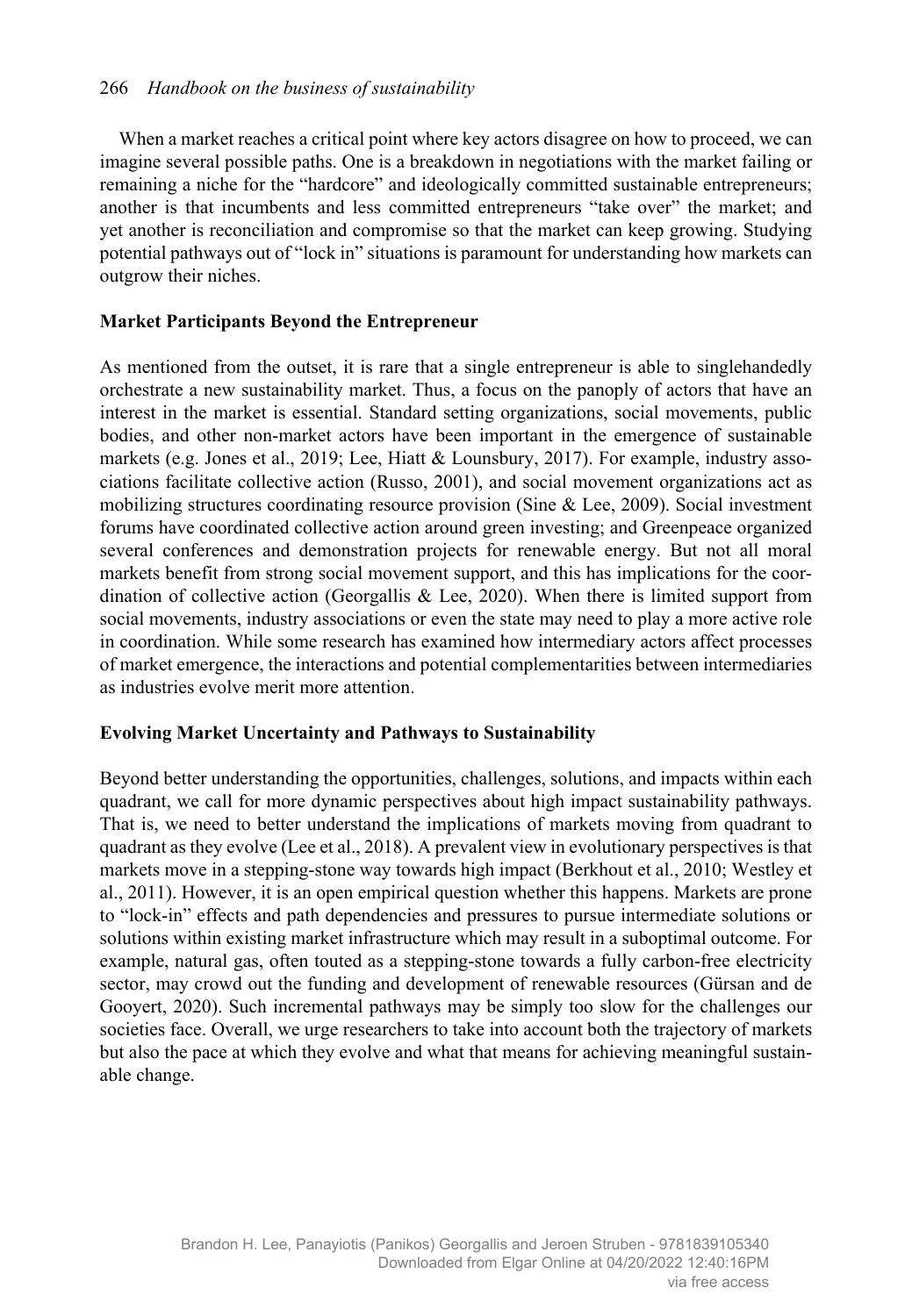When a market reaches a critical point where key actors disagree on how to proceed, we can imagine several possible paths. One is a breakdown in negotiations with the market failing or remaining a niche for the "hardcore" and ideologically committed sustainable entrepreneurs; another is that incumbents and less committed entrepreneurs "take over" the market; and yet another is reconciliation and compromise so that the market can keep growing. Studying potential pathways out of "lock in" situations is paramount for understanding how markets can outgrow their niches.

### **Market Participants Beyond the Entrepreneur**

As mentioned from the outset, it is rare that a single entrepreneur is able to singlehandedly orchestrate a new sustainability market. Thus, a focus on the panoply of actors that have an interest in the market is essential. Standard setting organizations, social movements, public bodies, and other non-market actors have been important in the emergence of sustainable markets (e.g. Jones et al., 2019; Lee, Hiatt & Lounsbury, 2017). For example, industry associations facilitate collective action (Russo, 2001), and social movement organizations act as mobilizing structures coordinating resource provision (Sine & Lee, 2009). Social investment forums have coordinated collective action around green investing; and Greenpeace organized several conferences and demonstration projects for renewable energy. But not all moral markets benefit from strong social movement support, and this has implications for the coordination of collective action (Georgallis & Lee, 2020). When there is limited support from social movements, industry associations or even the state may need to play a more active role in coordination. While some research has examined how intermediary actors affect processes of market emergence, the interactions and potential complementarities between intermediaries as industries evolve merit more attention.

## **Evolving Market Uncertainty and Pathways to Sustainability**

Beyond better understanding the opportunities, challenges, solutions, and impacts within each quadrant, we call for more dynamic perspectives about high impact sustainability pathways. That is, we need to better understand the implications of markets moving from quadrant to quadrant as they evolve (Lee et al., 2018). A prevalent view in evolutionary perspectives is that markets move in a stepping-stone way towards high impact (Berkhout et al., 2010; Westley et al., 2011). However, it is an open empirical question whether this happens. Markets are prone to "lock-in" effects and path dependencies and pressures to pursue intermediate solutions or solutions within existing market infrastructure which may result in a suboptimal outcome. For example, natural gas, often touted as a stepping-stone towards a fully carbon-free electricity sector, may crowd out the funding and development of renewable resources (Gürsan and de Gooyert, 2020). Such incremental pathways may be simply too slow for the challenges our societies face. Overall, we urge researchers to take into account both the trajectory of markets but also the pace at which they evolve and what that means for achieving meaningful sustainable change.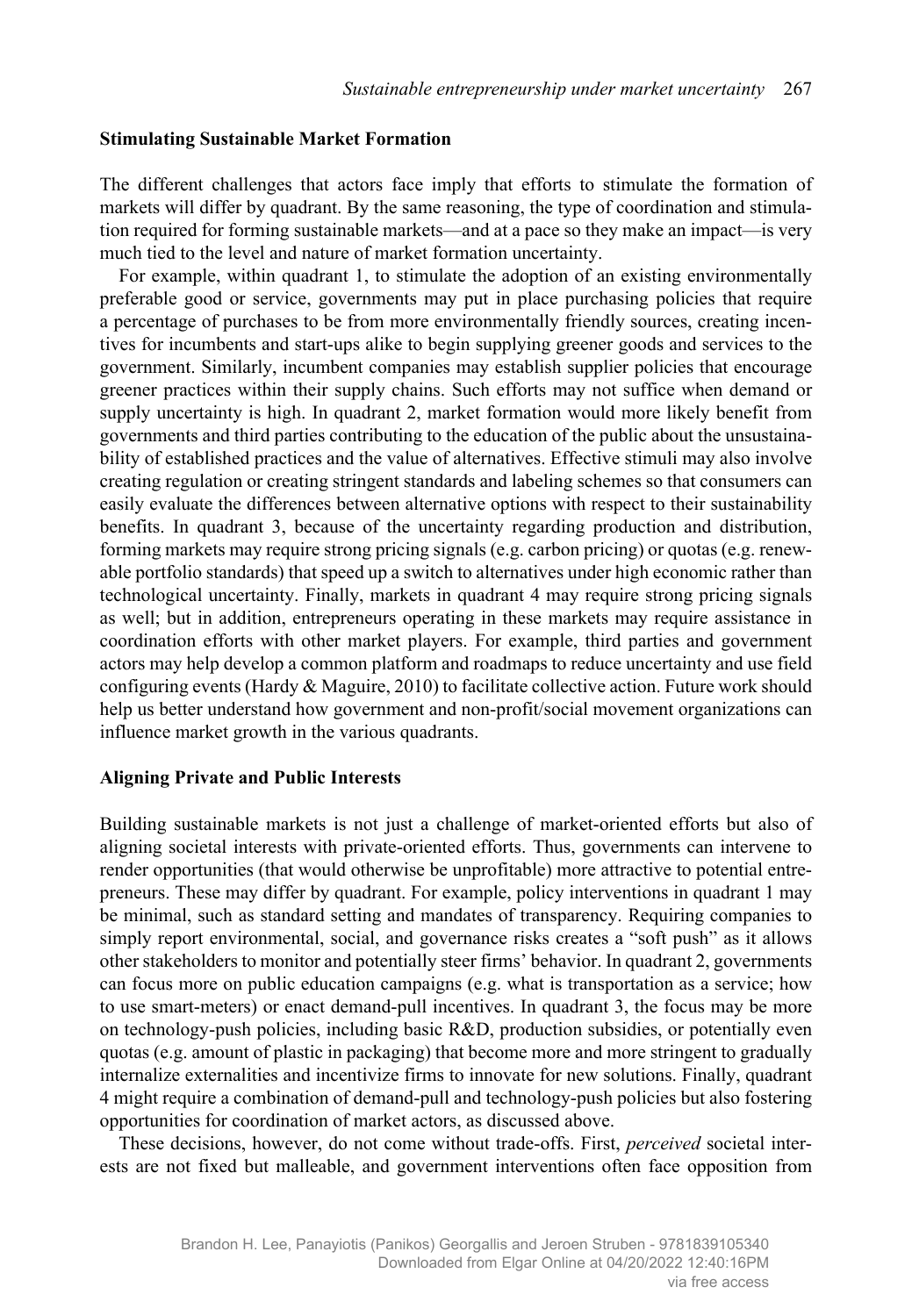#### **Stimulating Sustainable Market Formation**

The different challenges that actors face imply that efforts to stimulate the formation of markets will differ by quadrant. By the same reasoning, the type of coordination and stimulation required for forming sustainable markets—and at a pace so they make an impact—is very much tied to the level and nature of market formation uncertainty.

For example, within quadrant 1, to stimulate the adoption of an existing environmentally preferable good or service, governments may put in place purchasing policies that require a percentage of purchases to be from more environmentally friendly sources, creating incentives for incumbents and start-ups alike to begin supplying greener goods and services to the government. Similarly, incumbent companies may establish supplier policies that encourage greener practices within their supply chains. Such efforts may not suffice when demand or supply uncertainty is high. In quadrant 2, market formation would more likely benefit from governments and third parties contributing to the education of the public about the unsustainability of established practices and the value of alternatives. Effective stimuli may also involve creating regulation or creating stringent standards and labeling schemes so that consumers can easily evaluate the differences between alternative options with respect to their sustainability benefits. In quadrant 3, because of the uncertainty regarding production and distribution, forming markets may require strong pricing signals (e.g. carbon pricing) or quotas (e.g. renewable portfolio standards) that speed up a switch to alternatives under high economic rather than technological uncertainty. Finally, markets in quadrant 4 may require strong pricing signals as well; but in addition, entrepreneurs operating in these markets may require assistance in coordination efforts with other market players. For example, third parties and government actors may help develop a common platform and roadmaps to reduce uncertainty and use field configuring events (Hardy & Maguire, 2010) to facilitate collective action. Future work should help us better understand how government and non-profit/social movement organizations can influence market growth in the various quadrants.

#### **Aligning Private and Public Interests**

Building sustainable markets is not just a challenge of market-oriented efforts but also of aligning societal interests with private-oriented efforts. Thus, governments can intervene to render opportunities (that would otherwise be unprofitable) more attractive to potential entrepreneurs. These may differ by quadrant. For example, policy interventions in quadrant 1 may be minimal, such as standard setting and mandates of transparency. Requiring companies to simply report environmental, social, and governance risks creates a "soft push" as it allows other stakeholders to monitor and potentially steer firms' behavior. In quadrant 2, governments can focus more on public education campaigns (e.g. what is transportation as a service; how to use smart-meters) or enact demand-pull incentives. In quadrant 3, the focus may be more on technology-push policies, including basic R&D, production subsidies, or potentially even quotas (e.g. amount of plastic in packaging) that become more and more stringent to gradually internalize externalities and incentivize firms to innovate for new solutions. Finally, quadrant 4 might require a combination of demand-pull and technology-push policies but also fostering opportunities for coordination of market actors, as discussed above.

These decisions, however, do not come without trade-offs. First, *perceived* societal interests are not fixed but malleable, and government interventions often face opposition from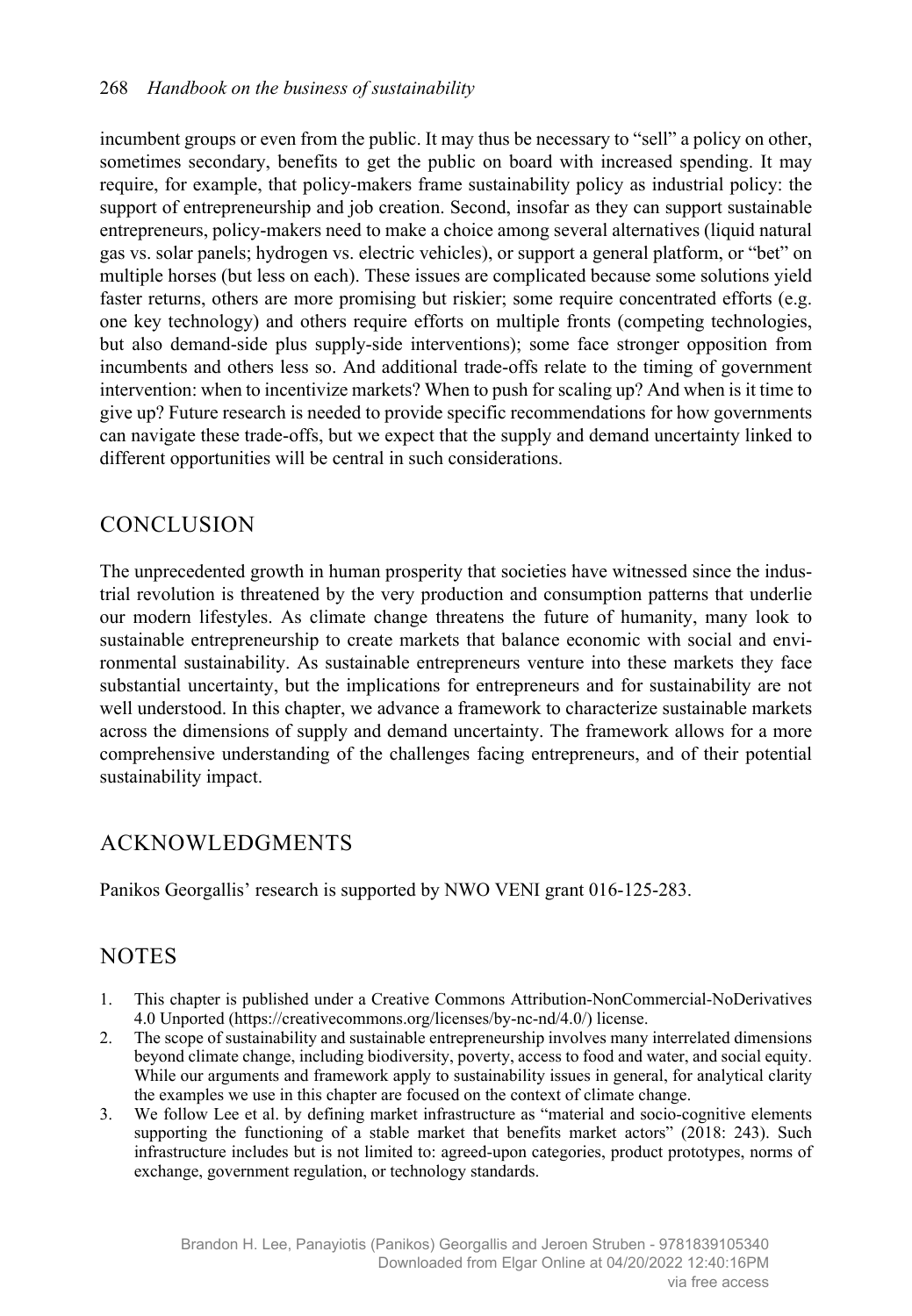incumbent groups or even from the public. It may thus be necessary to "sell" a policy on other, sometimes secondary, benefits to get the public on board with increased spending. It may require, for example, that policy-makers frame sustainability policy as industrial policy: the support of entrepreneurship and job creation. Second, insofar as they can support sustainable entrepreneurs, policy-makers need to make a choice among several alternatives (liquid natural gas vs. solar panels; hydrogen vs. electric vehicles), or support a general platform, or "bet" on multiple horses (but less on each). These issues are complicated because some solutions yield faster returns, others are more promising but riskier; some require concentrated efforts (e.g. one key technology) and others require efforts on multiple fronts (competing technologies, but also demand-side plus supply-side interventions); some face stronger opposition from incumbents and others less so. And additional trade-offs relate to the timing of government intervention: when to incentivize markets? When to push for scaling up? And when is it time to give up? Future research is needed to provide specific recommendations for how governments can navigate these trade-offs, but we expect that the supply and demand uncertainty linked to different opportunities will be central in such considerations.

# **CONCLUSION**

The unprecedented growth in human prosperity that societies have witnessed since the industrial revolution is threatened by the very production and consumption patterns that underlie our modern lifestyles. As climate change threatens the future of humanity, many look to sustainable entrepreneurship to create markets that balance economic with social and environmental sustainability. As sustainable entrepreneurs venture into these markets they face substantial uncertainty, but the implications for entrepreneurs and for sustainability are not well understood. In this chapter, we advance a framework to characterize sustainable markets across the dimensions of supply and demand uncertainty. The framework allows for a more comprehensive understanding of the challenges facing entrepreneurs, and of their potential sustainability impact.

# ACKNOWLEDGMENTS

Panikos Georgallis' research is supported by NWO VENI grant 016-125-283.

# **NOTES**

- 1. This chapter is published under a Creative Commons Attribution-NonCommercial-NoDerivatives 4.0 Unported (https://creativecommons.org/licenses/by-nc-nd/4.0/) license.
- 2. The scope of sustainability and sustainable entrepreneurship involves many interrelated dimensions beyond climate change, including biodiversity, poverty, access to food and water, and social equity. While our arguments and framework apply to sustainability issues in general, for analytical clarity the examples we use in this chapter are focused on the context of climate change.
- 3. We follow Lee et al. by defining market infrastructure as "material and socio-cognitive elements supporting the functioning of a stable market that benefits market actors" (2018: 243). Such infrastructure includes but is not limited to: agreed-upon categories, product prototypes, norms of exchange, government regulation, or technology standards.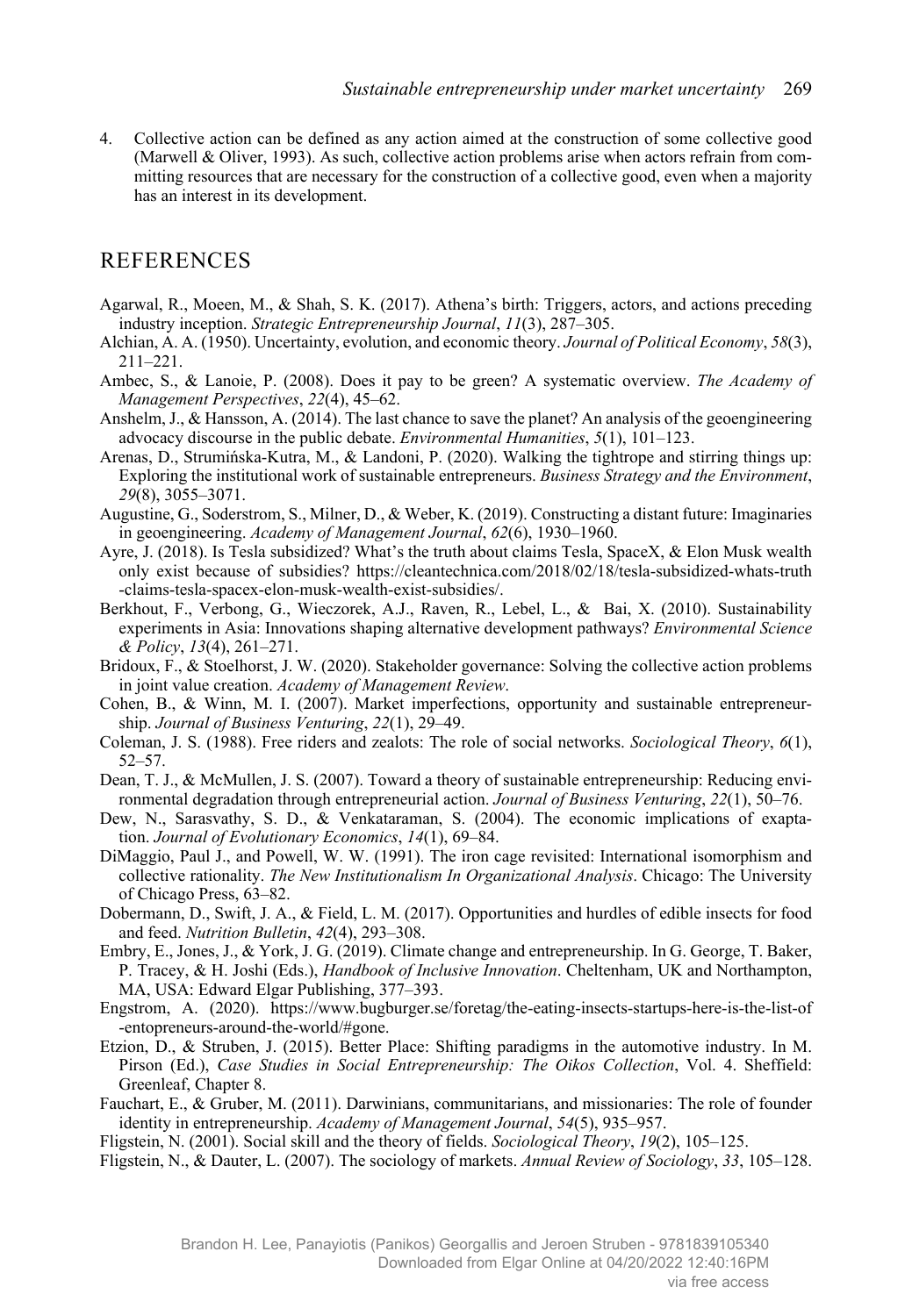4. Collective action can be defined as any action aimed at the construction of some collective good (Marwell & Oliver, 1993). As such, collective action problems arise when actors refrain from committing resources that are necessary for the construction of a collective good, even when a majority has an interest in its development.

## **REFERENCES**

- Agarwal, R., Moeen, M., & Shah, S. K. (2017). Athena's birth: Triggers, actors, and actions preceding industry inception. *Strategic Entrepreneurship Journal*, 11(3), 287–305.
- Alchian, A. A. (1950). Uncertainty, evolution, and economic theory. *Journal of Political Economy*, *58*(3), 211‒221.
- Ambec, S., & Lanoie, P. (2008). Does it pay to be green? A systematic overview. *The Academy of Management Perspectives*, 22(4), 45-62.
- Anshelm, J., & Hansson, A. (2014). The last chance to save the planet? An analysis of the geoengineering advocacy discourse in the public debate. *Environmental Humanities*,  $5(1)$ ,  $101-123$ .
- Arenas, D., Strumińska-Kutra, M., & Landoni, P. (2020). Walking the tightrope and stirring things up: Exploring the institutional work of sustainable entrepreneurs. *Business Strategy and the Environment*, *29*(8), 3055‒3071.
- Augustine, G., Soderstrom, S., Milner, D., & Weber, K. (2019). Constructing a distant future: Imaginaries in geoengineering. *Academy of Management Journal*,  $62(6)$ , 1930–1960.
- Ayre, J. (2018). Is Tesla subsidized? What's the truth about claims Tesla, SpaceX, & Elon Musk wealth only exist because of subsidies? https://cleantechnica.com/2018/02/18/tesla-subsidized-whats-truth -claims-tesla-spacex-elon-musk-wealth-exist-subsidies/.
- Berkhout, F., Verbong, G., Wieczorek, A.J., Raven, R., Lebel, L., & Bai, X. (2010). Sustainability experiments in Asia: Innovations shaping alternative development pathways? *Environmental Science & Policy*, *13*(4), 261‒271.
- Bridoux, F., & Stoelhorst, J. W. (2020). Stakeholder governance: Solving the collective action problems in joint value creation. *Academy of Management Review*.
- Cohen, B., & Winn, M. I. (2007). Market imperfections, opportunity and sustainable entrepreneurship. *Journal of Business Venturing*, 22(1), 29–49.
- Coleman, J. S. (1988). Free riders and zealots: The role of social networks. *Sociological Theory*, *6*(1),  $52 - 57.$
- Dean, T. J., & McMullen, J. S. (2007). Toward a theory of sustainable entrepreneurship: Reducing environmental degradation through entrepreneurial action. *Journal of Business Venturing*, *22*(1), 50‒76.
- Dew, N., Sarasvathy, S. D., & Venkataraman, S. (2004). The economic implications of exaptation. *Journal of Evolutionary Economics*, *14*(1), 69‒84.
- DiMaggio, Paul J., and Powell, W. W. (1991). The iron cage revisited: International isomorphism and collective rationality. *The New Institutionalism In Organizational Analysis*. Chicago: The University of Chicago Press, 63–82.
- Dobermann, D., Swift, J. A., & Field, L. M. (2017). Opportunities and hurdles of edible insects for food and feed. *Nutrition Bulletin*, *42*(4), 293‒308.
- Embry, E., Jones, J., & York, J. G. (2019). Climate change and entrepreneurship. In G. George, T. Baker, P. Tracey, & H. Joshi (Eds.), *Handbook of Inclusive Innovation*. Cheltenham, UK and Northampton, MA, USA: Edward Elgar Publishing, 377-393.
- Engstrom, A. (2020). https://www.bugburger.se/foretag/the-eating-insects-startups-here-is-the-list-of -entopreneurs-around-the-world/#gone.
- Etzion, D., & Struben, J. (2015). Better Place: Shifting paradigms in the automotive industry. In M. Pirson (Ed.), *Case Studies in Social Entrepreneurship: The Oikos Collection*, Vol. 4. Sheffield: Greenleaf, Chapter 8.
- Fauchart, E., & Gruber, M. (2011). Darwinians, communitarians, and missionaries: The role of founder identity in entrepreneurship. *Academy of Management Journal*, 54(5), 935–957.
- Fligstein, N. (2001). Social skill and the theory of fields. *Sociological Theory*, *19*(2), 105‒125.
- Fligstein, N., & Dauter, L. (2007). The sociology of markets. *Annual Review of Sociology*, 33, 105–128.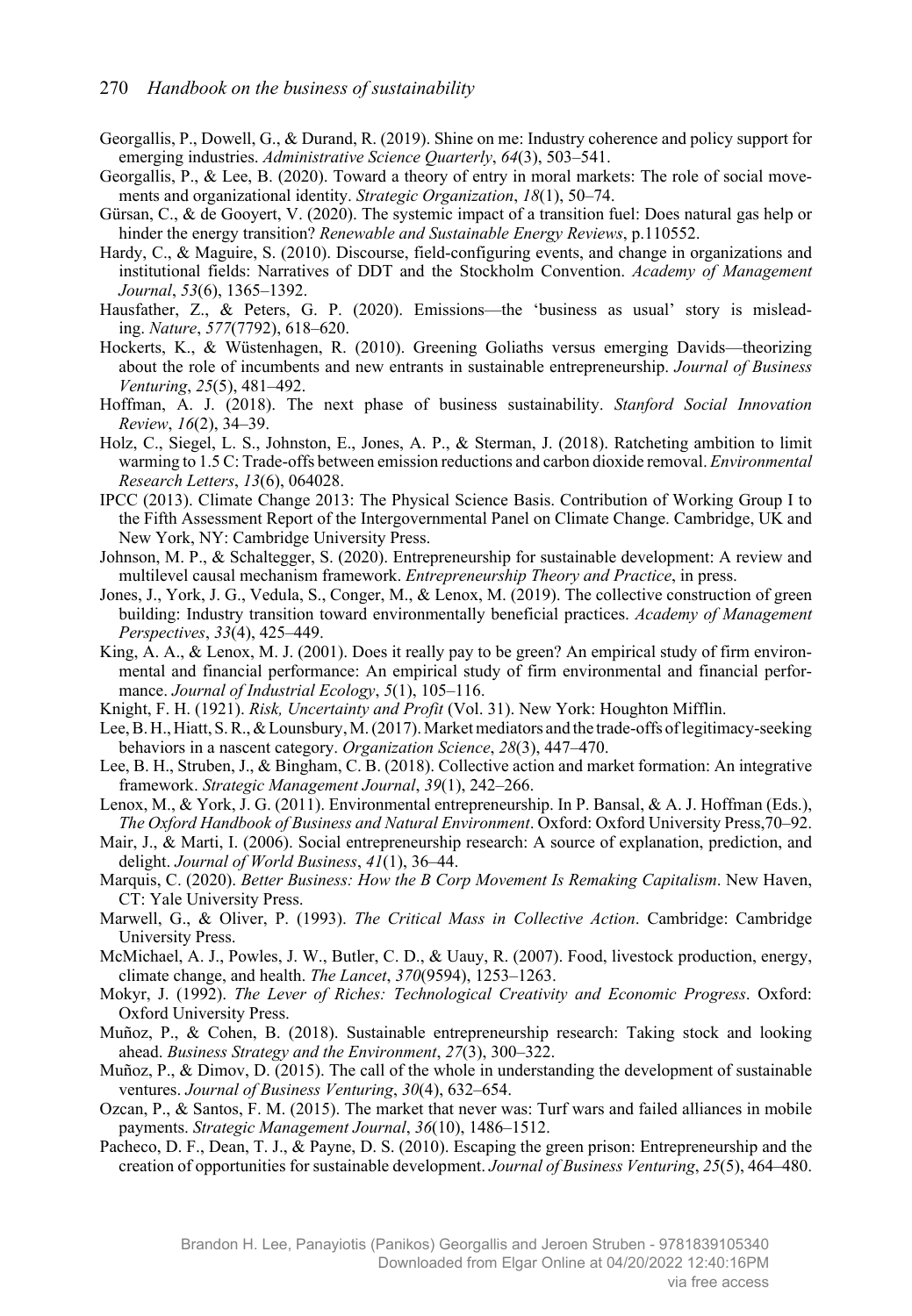- Georgallis, P., Dowell, G., & Durand, R. (2019). Shine on me: Industry coherence and policy support for emerging industries. *Administrative Science Quarterly*,  $64(3)$ ,  $503-541$ .
- Georgallis, P., & Lee, B. (2020). Toward a theory of entry in moral markets: The role of social movements and organizational identity. *Strategic Organization*,  $18(1)$ , 50–74.
- Gürsan, C., & de Gooyert, V. (2020). The systemic impact of a transition fuel: Does natural gas help or hinder the energy transition? *Renewable and Sustainable Energy Reviews*, p.110552.
- Hardy, C., & Maguire, S. (2010). Discourse, field-configuring events, and change in organizations and institutional fields: Narratives of DDT and the Stockholm Convention. *Academy of Management Journal*, *53*(6), 1365‒1392.
- Hausfather, Z., & Peters, G. P. (2020). Emissions—the 'business as usual' story is misleading. *Nature*, *577*(7792), 618–620.
- Hockerts, K., & Wüstenhagen, R. (2010). Greening Goliaths versus emerging Davids—theorizing about the role of incumbents and new entrants in sustainable entrepreneurship. *Journal of Business Venturing*, *25*(5), 481‒492.
- Hoffman, A. J. (2018). The next phase of business sustainability. *Stanford Social Innovation Review*, *16*(2), 34‒39.
- Holz, C., Siegel, L. S., Johnston, E., Jones, A. P., & Sterman, J. (2018). Ratcheting ambition to limit warming to 1.5 C: Trade-offs between emission reductions and carbon dioxide removal. *Environmental Research Letters*, *13*(6), 064028.
- IPCC (2013). Climate Change 2013: The Physical Science Basis. Contribution of Working Group I to the Fifth Assessment Report of the Intergovernmental Panel on Climate Change. Cambridge, UK and New York, NY: Cambridge University Press.
- Johnson, M. P., & Schaltegger, S. (2020). Entrepreneurship for sustainable development: A review and multilevel causal mechanism framework. *Entrepreneurship Theory and Practice*, in press.
- Jones, J., York, J. G., Vedula, S., Conger, M., & Lenox, M. (2019). The collective construction of green building: Industry transition toward environmentally beneficial practices. *Academy of Management Perspectives*, *33*(4), 425‒449.
- King, A. A., & Lenox, M. J. (2001). Does it really pay to be green? An empirical study of firm environmental and financial performance: An empirical study of firm environmental and financial performance. *Journal of Industrial Ecology*,  $5(1)$ ,  $105-116$ .
- Knight, F. H. (1921). *Risk, Uncertainty and Profit* (Vol. 31). New York: Houghton Mifflin.
- Lee, B. H., Hiatt, S. R., & Lounsbury, M. (2017). Market mediators and the trade-offs of legitimacy-seeking behaviors in a nascent category. *Organization Science*, 28(3), 447–470.
- Lee, B. H., Struben, J., & Bingham, C. B. (2018). Collective action and market formation: An integrative framework. *Strategic Management Journal*, 39(1), 242–266.
- Lenox, M., & York, J. G. (2011). Environmental entrepreneurship. In P. Bansal, & A. J. Hoffman (Eds.), *The Oxford Handbook of Business and Natural Environment*. Oxford: Oxford University Press,70‒92.
- Mair, J., & Marti, I. (2006). Social entrepreneurship research: A source of explanation, prediction, and delight. *Journal of World Business*, *41*(1), 36‒44.
- Marquis, C. (2020). *Better Business: How the B Corp Movement Is Remaking Capitalism*. New Haven, CT: Yale University Press.
- Marwell, G., & Oliver, P. (1993). *The Critical Mass in Collective Action*. Cambridge: Cambridge University Press.
- McMichael, A. J., Powles, J. W., Butler, C. D., & Uauy, R. (2007). Food, livestock production, energy, climate change, and health. *The Lancet*, *370*(9594), 1253‒1263.
- Mokyr, J. (1992). *The Lever of Riches: Technological Creativity and Economic Progress*. Oxford: Oxford University Press.
- Muñoz, P., & Cohen, B. (2018). Sustainable entrepreneurship research: Taking stock and looking ahead. *Business Strategy and the Environment*, *27*(3), 300‒322.
- Muñoz, P., & Dimov, D. (2015). The call of the whole in understanding the development of sustainable ventures. *Journal of Business Venturing*, *30*(4), 632–654.
- Ozcan, P., & Santos, F. M. (2015). The market that never was: Turf wars and failed alliances in mobile payments. *Strategic Management Journal*, 36(10), 1486–1512.
- Pacheco, D. F., Dean, T. J., & Payne, D. S. (2010). Escaping the green prison: Entrepreneurship and the creation of opportunities for sustainable development. *Journal of Business Venturing*, *25*(5), 464‒480.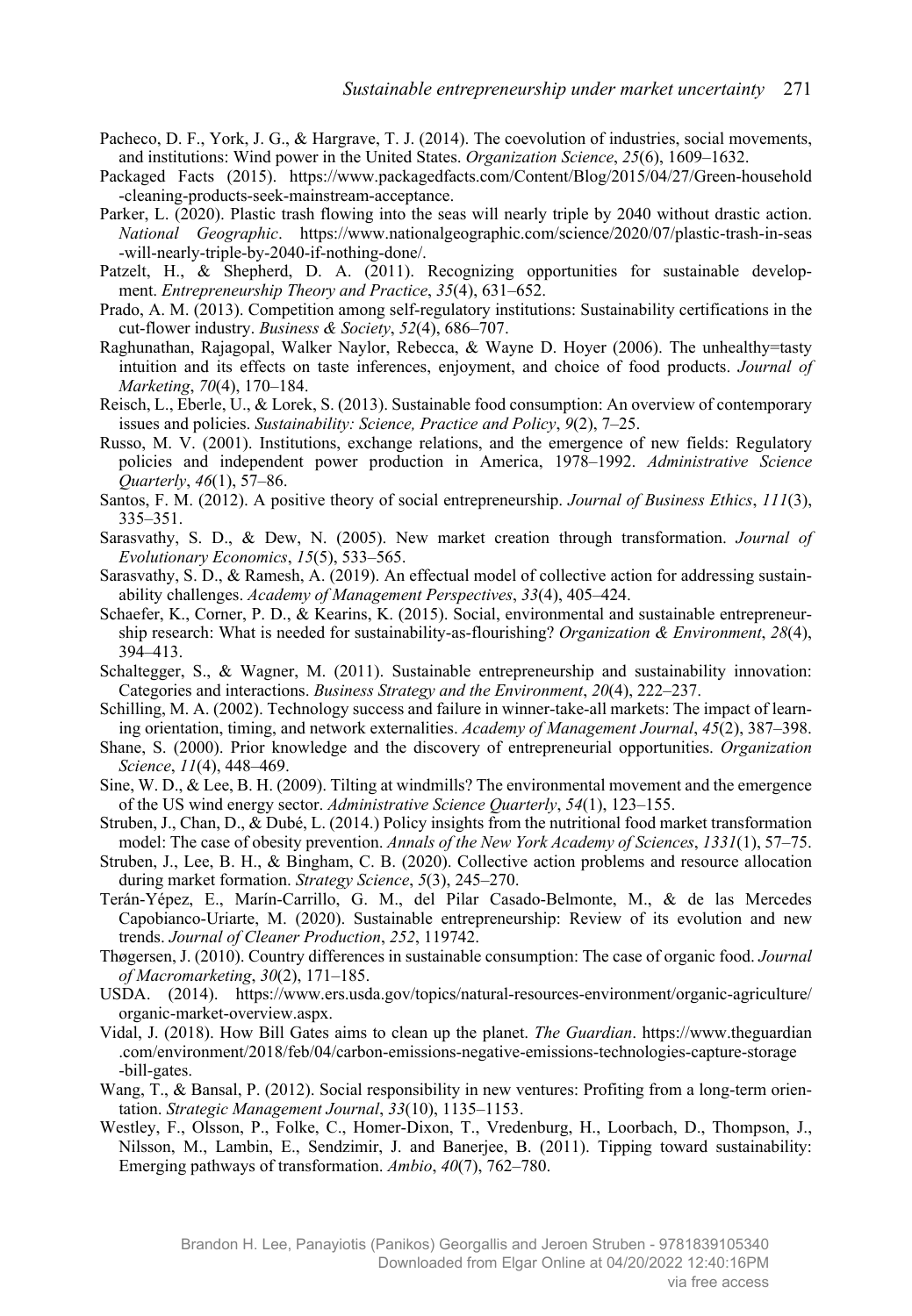- Pacheco, D. F., York, J. G., & Hargrave, T. J. (2014). The coevolution of industries, social movements, and institutions: Wind power in the United States. *Organization Science*, 25(6), 1609–1632.
- Packaged Facts (2015). [https://www.packagedfacts.com/Content/Blog/2015/04/27/Green-household](https://www.packagedfacts.com/Content/Blog/2015/04/27/Green-household-cleaning-products-seek-mainstream-acceptance) [-cleaning-products-seek-mainstream-acceptance](https://www.packagedfacts.com/Content/Blog/2015/04/27/Green-household-cleaning-products-seek-mainstream-acceptance).
- Parker, L. (2020). Plastic trash flowing into the seas will nearly triple by 2040 without drastic action. *National Geographic*. https://www.nationalgeographic.com/science/2020/07/plastic-trash-in-seas -will-nearly-triple-by-2040-if-nothing-done/.
- Patzelt, H., & Shepherd, D. A. (2011). Recognizing opportunities for sustainable development. *Entrepreneurship Theory and Practice*, 35(4), 631–652.
- Prado, A. M. (2013). Competition among self-regulatory institutions: Sustainability certifications in the cut-flower industry. *Business & Society*, 52(4), 686–707.
- Raghunathan, Rajagopal, Walker Naylor, Rebecca, & Wayne D. Hoyer (2006). The unhealthy=tasty intuition and its effects on taste inferences, enjoyment, and choice of food products. *Journal of Marketing*, *70*(4), 170‒184.
- Reisch, L., Eberle, U., & Lorek, S. (2013). Sustainable food consumption: An overview of contemporary issues and policies. *Sustainability: Science, Practice and Policy*,  $9(2)$ ,  $7-25$ .
- Russo, M. V. (2001). Institutions, exchange relations, and the emergence of new fields: Regulatory policies and independent power production in America, 1978–1992. *Administrative Science Quarterly*, *46*(1), 57‒86.
- Santos, F. M. (2012). A positive theory of social entrepreneurship. *Journal of Business Ethics*, *111*(3), 335‒351.
- Sarasvathy, S. D., & Dew, N. (2005). New market creation through transformation. *Journal of Evolutionary Economics*, *15*(5), 533‒565.
- Sarasvathy, S. D., & Ramesh, A. (2019). An effectual model of collective action for addressing sustainability challenges. *Academy of Management Perspectives*, *33*(4), 405‒424.
- Schaefer, K., Corner, P. D., & Kearins, K. (2015). Social, environmental and sustainable entrepreneurship research: What is needed for sustainability-as-flourishing? *Organization & Environment*, *28*(4), 394‒413.
- Schaltegger, S., & Wagner, M. (2011). Sustainable entrepreneurship and sustainability innovation: Categories and interactions. *Business Strategy and the Environment*, *20*(4), 222‒237.
- Schilling, M. A. (2002). Technology success and failure in winner-take-all markets: The impact of learning orientation, timing, and network externalities. *Academy of Management Journal*, *45*(2), 387‒398.
- Shane, S. (2000). Prior knowledge and the discovery of entrepreneurial opportunities. *Organization Science*, *11*(4), 448‒469.
- Sine, W. D., & Lee, B. H. (2009). Tilting at windmills? The environmental movement and the emergence of the US wind energy sector. *Administrative Science Quarterly*, *54*(1), 123‒155.
- Struben, J., Chan, D., & Dubé, L. (2014.) Policy insights from the nutritional food market transformation model: The case of obesity prevention. *Annals of the New York Academy of Sciences*, 1331(1), 57–75.
- Struben, J., Lee, B. H., & Bingham, C. B. (2020). Collective action problems and resource allocation during market formation. *Strategy Science*, 5(3), 245-270.
- Terán-Yépez, E., Marín-Carrillo, G. M., del Pilar Casado-Belmonte, M., & de las Mercedes Capobianco-Uriarte, M. (2020). Sustainable entrepreneurship: Review of its evolution and new trends. *Journal of Cleaner Production*, *252*, 119742.
- Thøgersen, J. (2010). Country differences in sustainable consumption: The case of organic food. *Journal of Macromarketing*, *30*(2), 171‒185.
- USDA. (2014). https://www.ers.usda.gov/topics/natural-resources-environment/organic-agriculture/ organic-market-overview.aspx.
- Vidal, J. (2018). How Bill Gates aims to clean up the planet. *The Guardian*. https://www.theguardian .com/environment/2018/feb/04/carbon-emissions-negative-emissions-technologies-capture-storage -bill-gates.
- Wang, T., & Bansal, P. (2012). Social responsibility in new ventures: Profiting from a long-term orientation. *Strategic Management Journal*,  $33(10)$ , 1135–1153.
- Westley, F., Olsson, P., Folke, C., Homer-Dixon, T., Vredenburg, H., Loorbach, D., Thompson, J., Nilsson, M., Lambin, E., Sendzimir, J. and Banerjee, B. (2011). Tipping toward sustainability: Emerging pathways of transformation. *Ambio*, 40(7), 762–780.